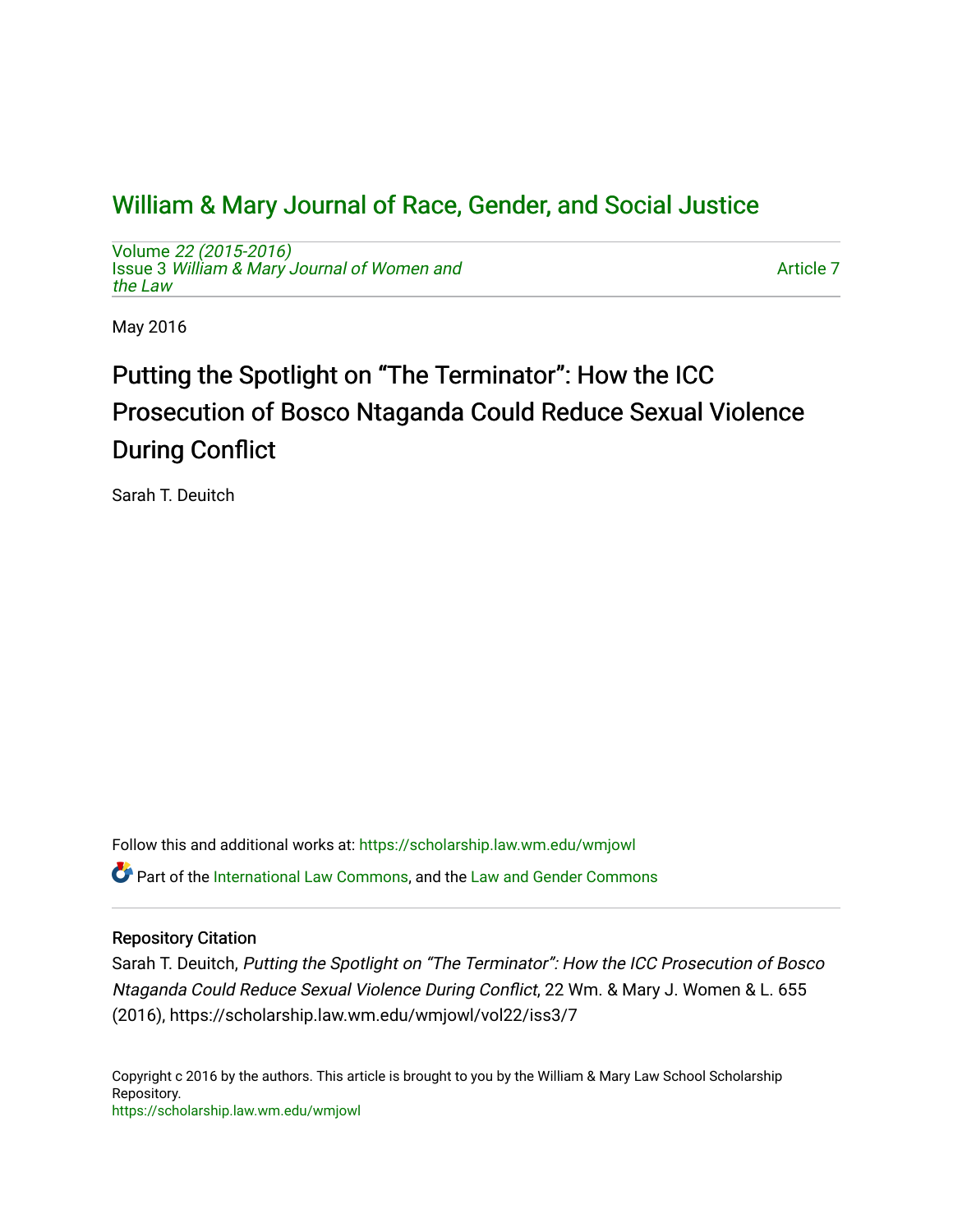## [William & Mary Journal of Race, Gender, and Social Justice](https://scholarship.law.wm.edu/wmjowl)

Volume [22 \(2015-2016\)](https://scholarship.law.wm.edu/wmjowl/vol22)  Issue 3 [William & Mary Journal of Women and](https://scholarship.law.wm.edu/wmjowl/vol22/iss3) [the Law](https://scholarship.law.wm.edu/wmjowl/vol22/iss3)

[Article 7](https://scholarship.law.wm.edu/wmjowl/vol22/iss3/7) 

May 2016

# Putting the Spotlight on "The Terminator": How the ICC Prosecution of Bosco Ntaganda Could Reduce Sexual Violence During Conflict

Sarah T. Deuitch

Follow this and additional works at: [https://scholarship.law.wm.edu/wmjowl](https://scholarship.law.wm.edu/wmjowl?utm_source=scholarship.law.wm.edu%2Fwmjowl%2Fvol22%2Fiss3%2F7&utm_medium=PDF&utm_campaign=PDFCoverPages) 

Part of the [International Law Commons,](http://network.bepress.com/hgg/discipline/609?utm_source=scholarship.law.wm.edu%2Fwmjowl%2Fvol22%2Fiss3%2F7&utm_medium=PDF&utm_campaign=PDFCoverPages) and the [Law and Gender Commons](http://network.bepress.com/hgg/discipline/1298?utm_source=scholarship.law.wm.edu%2Fwmjowl%2Fvol22%2Fiss3%2F7&utm_medium=PDF&utm_campaign=PDFCoverPages) 

## Repository Citation

Sarah T. Deuitch, Putting the Spotlight on "The Terminator": How the ICC Prosecution of Bosco Ntaganda Could Reduce Sexual Violence During Conflict, 22 Wm. & Mary J. Women & L. 655 (2016), https://scholarship.law.wm.edu/wmjowl/vol22/iss3/7

Copyright c 2016 by the authors. This article is brought to you by the William & Mary Law School Scholarship Repository. <https://scholarship.law.wm.edu/wmjowl>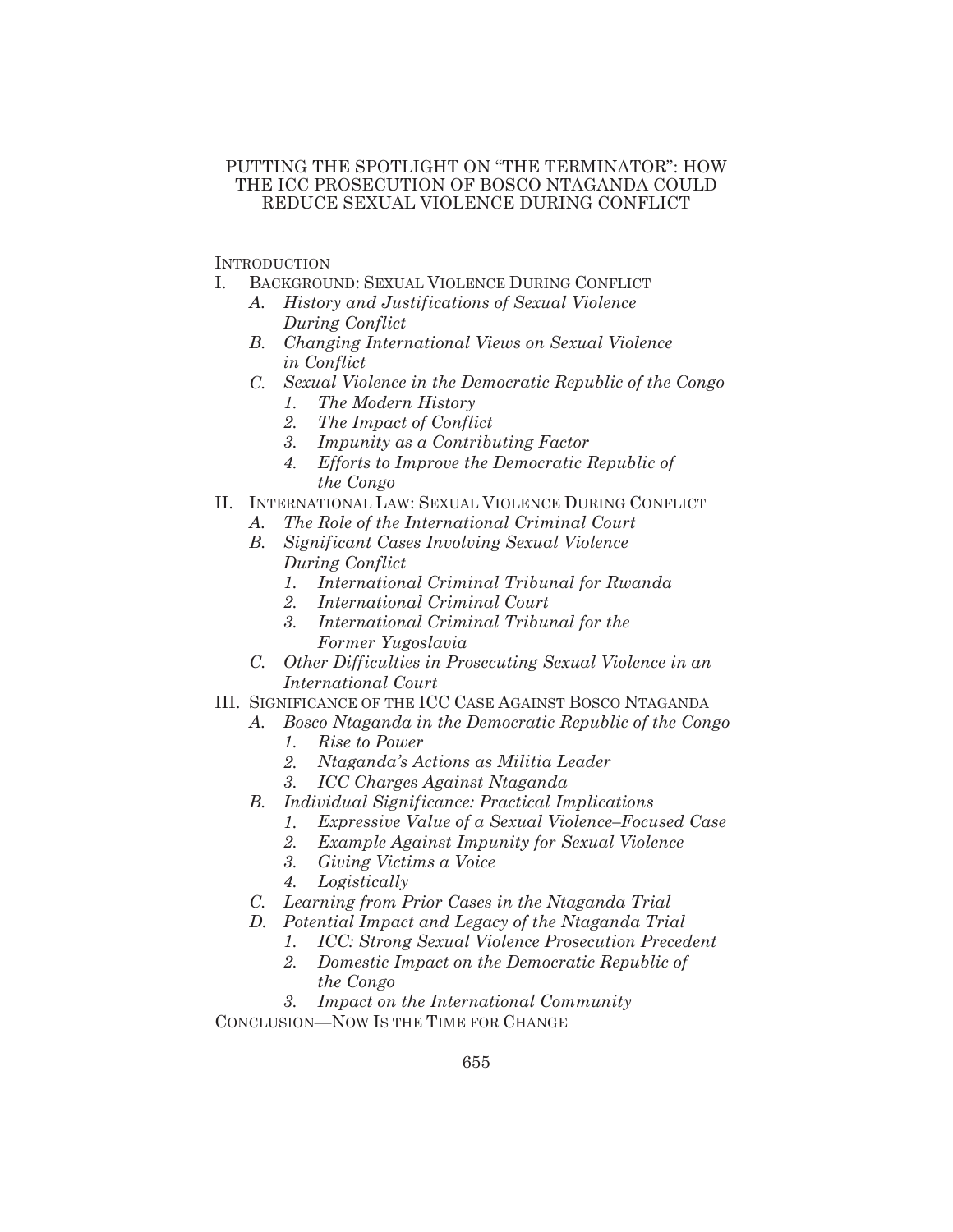## PUTTING THE SPOTLIGHT ON "THE TERMINATOR": HOW THE ICC PROSECUTION OF BOSCO NTAGANDA COULD REDUCE SEXUAL VIOLENCE DURING CONFLICT

**INTRODUCTION** 

- I. BACKGROUND: SEXUAL VIOLENCE DURING CONFLICT
	- *A. History and Justifications of Sexual Violence During Conflict*
	- *B. Changing International Views on Sexual Violence in Conflict*
	- *C. Sexual Violence in the Democratic Republic of the Congo 1. The Modern History*
		- *2. The Impact of Conflict*
		- *3. Impunity as a Contributing Factor*
		- *4. Efforts to Improve the Democratic Republic of the Congo*
- II. INTERNATIONAL LAW: SEXUAL VIOLENCE DURING CONFLICT
	- *A. The Role of the International Criminal Court*
	- *B. Significant Cases Involving Sexual Violence During Conflict*
		- *1. International Criminal Tribunal for Rwanda*
		- *2. International Criminal Court*
		- *3. International Criminal Tribunal for the Former Yugoslavia*
	- *C. Other Difficulties in Prosecuting Sexual Violence in an International Court*
- III. SIGNIFICANCE OF THE ICC CASE AGAINST BOSCO NTAGANDA
	- *A. Bosco Ntaganda in the Democratic Republic of the Congo*
		- *1. Rise to Power*
		- *2. Ntaganda's Actions as Militia Leader*
		- *3. ICC Charges Against Ntaganda*
	- *B. Individual Significance: Practical Implications*
		- *1. Expressive Value of a Sexual Violence–Focused Case*
		- *2. Example Against Impunity for Sexual Violence*
		- *3. Giving Victims a Voice*
		- *4. Logistically*
	- *C. Learning from Prior Cases in the Ntaganda Trial*
	- *D. Potential Impact and Legacy of the Ntaganda Trial*
		- *1. ICC: Strong Sexual Violence Prosecution Precedent*
			- *2. Domestic Impact on the Democratic Republic of the Congo*

*3. Impact on the International Community* CONCLUSION—NOW IS THE TIME FOR CHANGE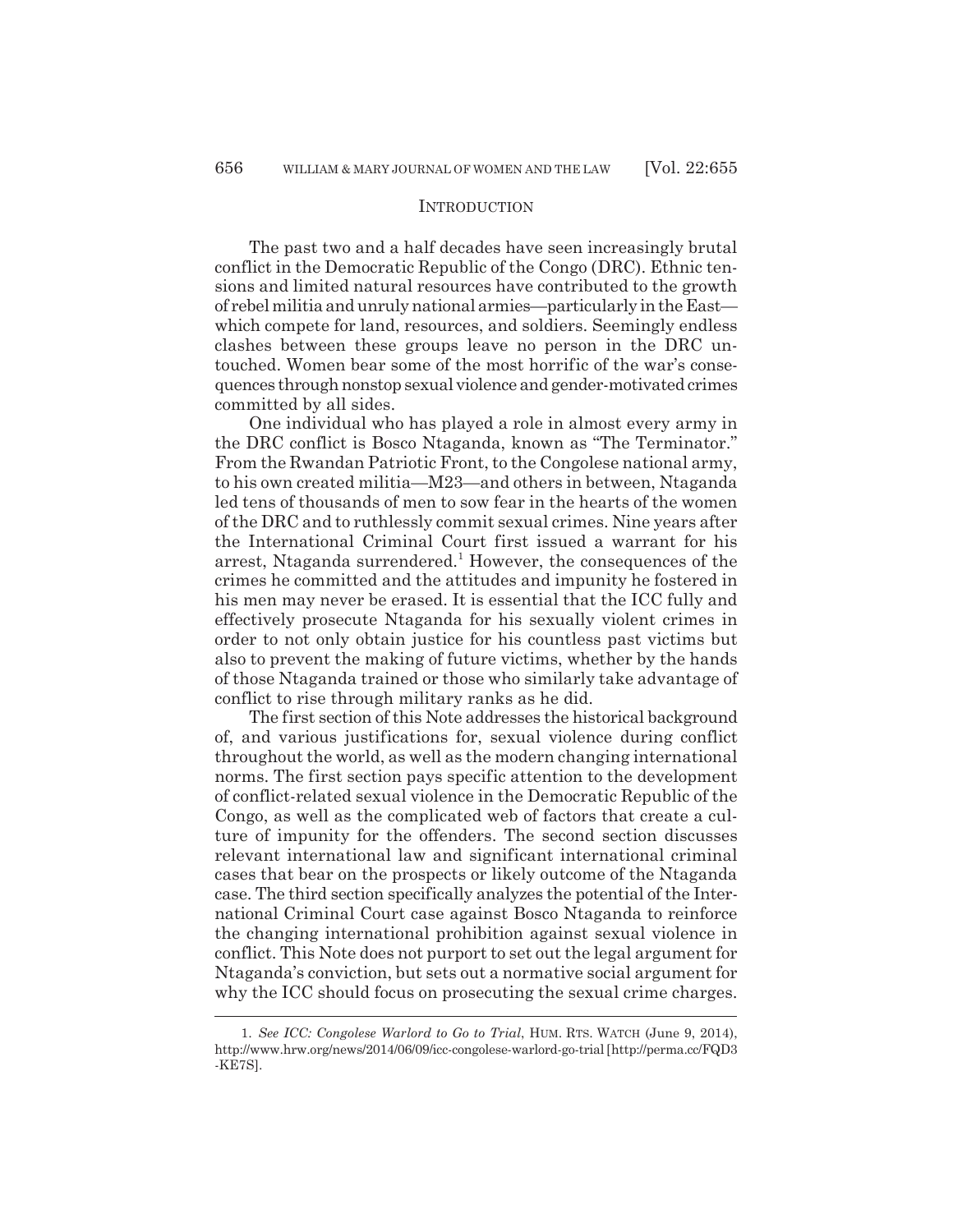#### **INTRODUCTION**

The past two and a half decades have seen increasingly brutal conflict in the Democratic Republic of the Congo (DRC). Ethnic tensions and limited natural resources have contributed to the growth of rebel militia and unruly national armies—particularly in the East which compete for land, resources, and soldiers. Seemingly endless clashes between these groups leave no person in the DRC untouched. Women bear some of the most horrific of the war's consequences through nonstop sexual violence and gender-motivated crimes committed by all sides.

One individual who has played a role in almost every army in the DRC conflict is Bosco Ntaganda, known as "The Terminator." From the Rwandan Patriotic Front, to the Congolese national army, to his own created militia—M23—and others in between, Ntaganda led tens of thousands of men to sow fear in the hearts of the women of the DRC and to ruthlessly commit sexual crimes. Nine years after the International Criminal Court first issued a warrant for his arrest, Ntaganda surrendered.<sup>1</sup> However, the consequences of the crimes he committed and the attitudes and impunity he fostered in his men may never be erased. It is essential that the ICC fully and effectively prosecute Ntaganda for his sexually violent crimes in order to not only obtain justice for his countless past victims but also to prevent the making of future victims, whether by the hands of those Ntaganda trained or those who similarly take advantage of conflict to rise through military ranks as he did.

The first section of this Note addresses the historical background of, and various justifications for, sexual violence during conflict throughout the world, as well as the modern changing international norms. The first section pays specific attention to the development of conflict-related sexual violence in the Democratic Republic of the Congo, as well as the complicated web of factors that create a culture of impunity for the offenders. The second section discusses relevant international law and significant international criminal cases that bear on the prospects or likely outcome of the Ntaganda case. The third section specifically analyzes the potential of the International Criminal Court case against Bosco Ntaganda to reinforce the changing international prohibition against sexual violence in conflict. This Note does not purport to set out the legal argument for Ntaganda's conviction, but sets out a normative social argument for why the ICC should focus on prosecuting the sexual crime charges.

<sup>1.</sup> *See ICC: Congolese Warlord to Go to Trial*, HUM. RTS. WATCH (June 9, 2014), http://www.hrw.org/news/2014/06/09/icc-congolese-warlord-go-trial [http://perma.cc/FQD3 -KE7S].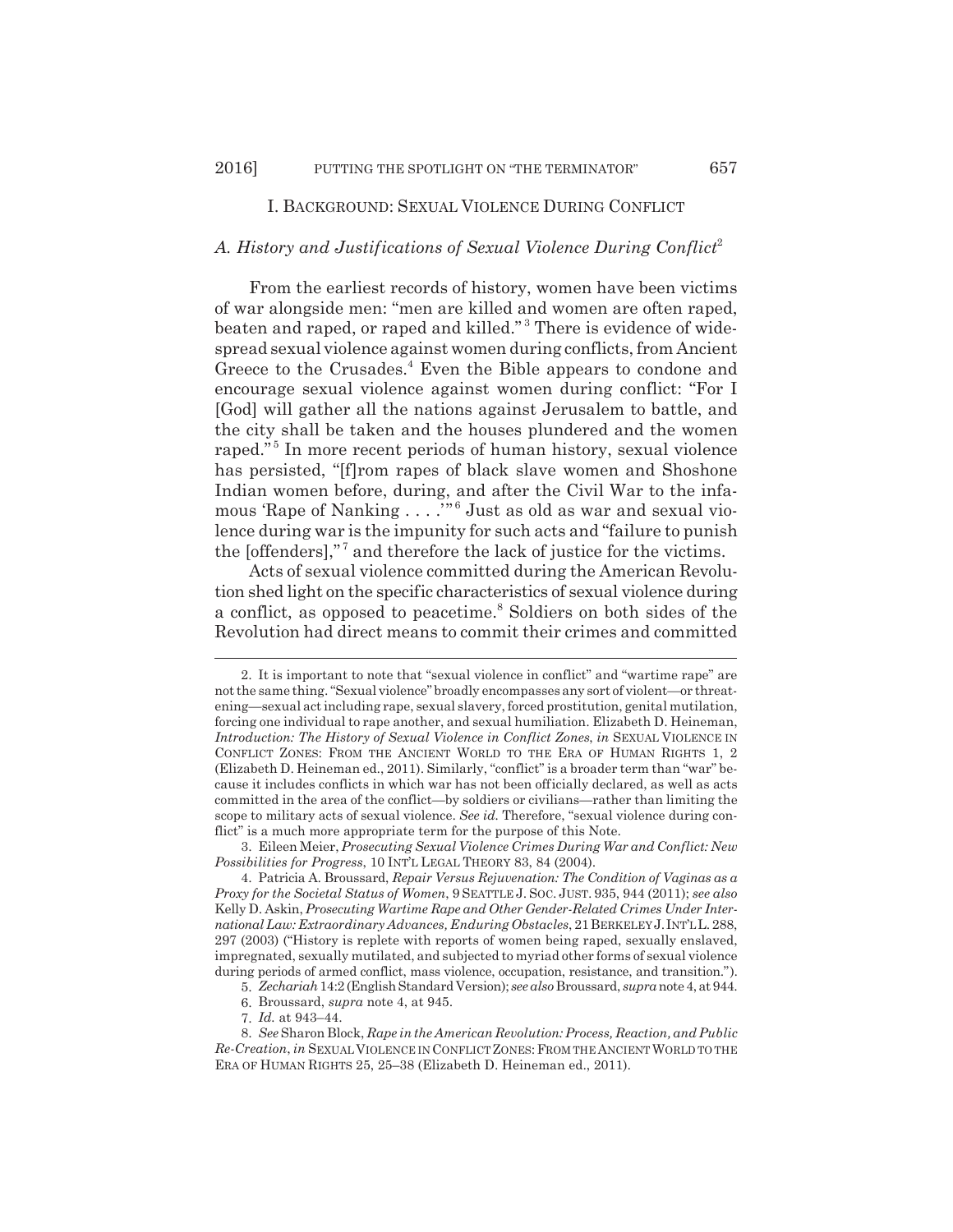## I. BACKGROUND: SEXUAL VIOLENCE DURING CONFLICT

## *A. History and Justifications of Sexual Violence During Conflict*<sup>2</sup>

From the earliest records of history, women have been victims of war alongside men: "men are killed and women are often raped, beaten and raped, or raped and killed."<sup>3</sup> There is evidence of widespread sexual violence against women during conflicts, from Ancient Greece to the Crusades.<sup>4</sup> Even the Bible appears to condone and encourage sexual violence against women during conflict: "For I [God] will gather all the nations against Jerusalem to battle, and the city shall be taken and the houses plundered and the women raped."<sup>5</sup> In more recent periods of human history, sexual violence has persisted, "[f]rom rapes of black slave women and Shoshone Indian women before, during, and after the Civil War to the infamous 'Rape of Nanking . . . . "<sup>6</sup> Just as old as war and sexual violence during war is the impunity for such acts and "failure to punish the  $[offenders]$ ," $^7$  and therefore the lack of justice for the victims.

Acts of sexual violence committed during the American Revolution shed light on the specific characteristics of sexual violence during a conflict, as opposed to peacetime.<sup>8</sup> Soldiers on both sides of the Revolution had direct means to commit their crimes and committed

<sup>2.</sup> It is important to note that "sexual violence in conflict" and "wartime rape" are not the same thing. "Sexual violence" broadly encompasses any sort of violent—or threatening—sexual act including rape, sexual slavery, forced prostitution, genital mutilation, forcing one individual to rape another, and sexual humiliation. Elizabeth D. Heineman, *Introduction: The History of Sexual Violence in Conflict Zones, in SEXUAL VIOLENCE IN* CONFLICT ZONES: FROM THE ANCIENT WORLD TO THE ERA OF HUMAN RIGHTS 1, 2 (Elizabeth D. Heineman ed., 2011). Similarly, "conflict" is a broader term than "war" because it includes conflicts in which war has not been officially declared, as well as acts committed in the area of the conflict—by soldiers or civilians—rather than limiting the scope to military acts of sexual violence. *See id.* Therefore, "sexual violence during conflict" is a much more appropriate term for the purpose of this Note.

<sup>3.</sup> Eileen Meier, *Prosecuting Sexual Violence Crimes During War and Conflict: New Possibilities for Progress*, 10 INT'L LEGAL THEORY 83, 84 (2004).

<sup>4.</sup> Patricia A. Broussard, *Repair Versus Rejuvenation: The Condition of Vaginas as a Proxy for the Societal Status of Women*, 9 SEATTLE J. SOC. JUST. 935, 944 (2011); *see also* Kelly D. Askin, *Prosecuting Wartime Rape and Other Gender-Related Crimes Under International Law: Extraordinary Advances, Enduring Obstacles*, 21BERKELEY J. INT'L L. 288, 297 (2003) ("History is replete with reports of women being raped, sexually enslaved, impregnated, sexually mutilated, and subjected to myriad other forms of sexual violence during periods of armed conflict, mass violence, occupation, resistance, and transition.").

<sup>5.</sup> *Zechariah* 14:2 (English Standard Version); *see also* Broussard, *supra* note 4, at 944.

<sup>6.</sup> Broussard, *supra* note 4, at 945.

<sup>7.</sup> *Id.* at 943–44.

<sup>8.</sup> *See* Sharon Block, *Rape in the American Revolution: Process, Reaction, and Public Re-Creation*, *in* SEXUAL VIOLENCE IN CONFLICT ZONES:FROM THE ANCIENT WORLD TO THE ERA OF HUMAN RIGHTS 25, 25–38 (Elizabeth D. Heineman ed., 2011).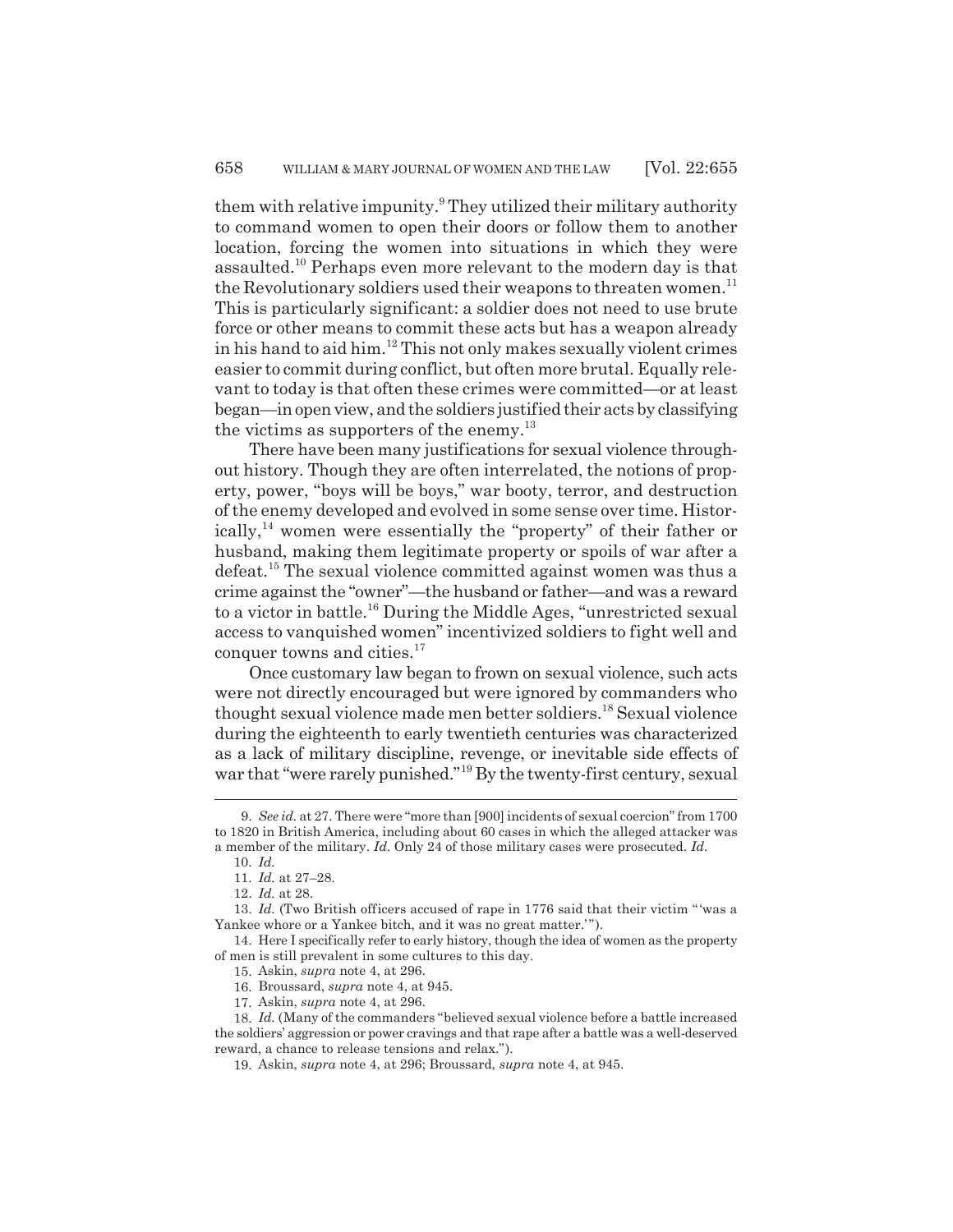them with relative impunity.<sup>9</sup> They utilized their military authority to command women to open their doors or follow them to another location, forcing the women into situations in which they were assaulted.10 Perhaps even more relevant to the modern day is that the Revolutionary soldiers used their weapons to threaten women.<sup>11</sup> This is particularly significant: a soldier does not need to use brute force or other means to commit these acts but has a weapon already in his hand to aid him.<sup>12</sup> This not only makes sexually violent crimes easier to commit during conflict, but often more brutal. Equally relevant to today is that often these crimes were committed—or at least began—in open view, and the soldiers justified their acts by classifying the victims as supporters of the enemy.<sup>13</sup>

There have been many justifications for sexual violence throughout history. Though they are often interrelated, the notions of property, power, "boys will be boys," war booty, terror, and destruction of the enemy developed and evolved in some sense over time. Historically,14 women were essentially the "property" of their father or husband, making them legitimate property or spoils of war after a defeat.15 The sexual violence committed against women was thus a crime against the "owner"—the husband or father—and was a reward to a victor in battle.<sup>16</sup> During the Middle Ages, "unrestricted sexual access to vanquished women" incentivized soldiers to fight well and conquer towns and cities.<sup>17</sup>

Once customary law began to frown on sexual violence, such acts were not directly encouraged but were ignored by commanders who thought sexual violence made men better soldiers.18 Sexual violence during the eighteenth to early twentieth centuries was characterized as a lack of military discipline, revenge, or inevitable side effects of war that "were rarely punished."<sup>19</sup> By the twenty-first century, sexual

<sup>9.</sup> *See id.* at 27. There were "more than [900] incidents of sexual coercion" from 1700 to 1820 in British America, including about 60 cases in which the alleged attacker was a member of the military. *Id.* Only 24 of those military cases were prosecuted. *Id.*

<sup>10.</sup> *Id.*

<sup>11.</sup> *Id.* at 27–28.

<sup>12.</sup> *Id.* at 28.

<sup>13.</sup> *Id.* (Two British officers accused of rape in 1776 said that their victim " 'was a Yankee whore or a Yankee bitch, and it was no great matter."").

<sup>14.</sup> Here I specifically refer to early history, though the idea of women as the property of men is still prevalent in some cultures to this day.

<sup>15.</sup> Askin, *supra* note 4, at 296.

<sup>16.</sup> Broussard, *supra* note 4, at 945.

<sup>17.</sup> Askin, *supra* note 4, at 296.

<sup>18.</sup> *Id.* (Many of the commanders "believed sexual violence before a battle increased the soldiers' aggression or power cravings and that rape after a battle was a well-deserved reward, a chance to release tensions and relax.").

<sup>19.</sup> Askin, *supra* note 4, at 296; Broussard, *supra* note 4, at 945.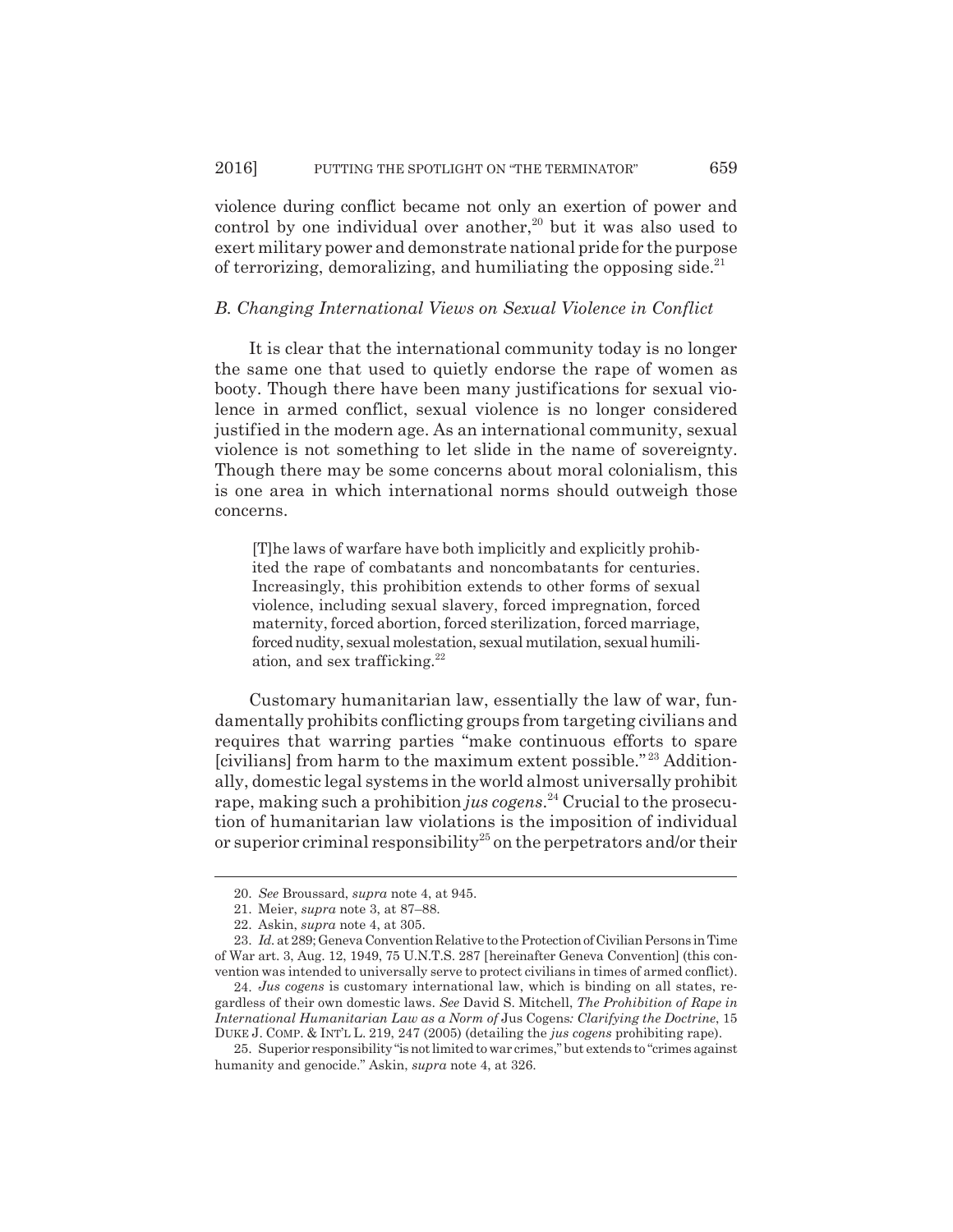violence during conflict became not only an exertion of power and control by one individual over another, $20$  but it was also used to exert military power and demonstrate national pride for the purpose of terrorizing, demoralizing, and humiliating the opposing side.<sup>21</sup>

#### *B. Changing International Views on Sexual Violence in Conflict*

It is clear that the international community today is no longer the same one that used to quietly endorse the rape of women as booty. Though there have been many justifications for sexual violence in armed conflict, sexual violence is no longer considered justified in the modern age. As an international community, sexual violence is not something to let slide in the name of sovereignty. Though there may be some concerns about moral colonialism, this is one area in which international norms should outweigh those concerns.

[T]he laws of warfare have both implicitly and explicitly prohibited the rape of combatants and noncombatants for centuries. Increasingly, this prohibition extends to other forms of sexual violence, including sexual slavery, forced impregnation, forced maternity, forced abortion, forced sterilization, forced marriage, forced nudity, sexual molestation, sexual mutilation, sexual humiliation, and sex trafficking. $22$ 

Customary humanitarian law, essentially the law of war, fundamentally prohibits conflicting groups from targeting civilians and requires that warring parties "make continuous efforts to spare [civilians] from harm to the maximum extent possible." 23 Additionally, domestic legal systems in the world almost universally prohibit rape, making such a prohibition *jus cogens*. 24 Crucial to the prosecution of humanitarian law violations is the imposition of individual or superior criminal responsibility<sup>25</sup> on the perpetrators and/or their

<sup>20.</sup> *See* Broussard, *supra* note 4, at 945.

<sup>21.</sup> Meier, *supra* note 3, at 87–88.

<sup>22.</sup> Askin, *supra* note 4, at 305.

<sup>23.</sup> *Id.* at 289; Geneva Convention Relative to the Protection of Civilian Persons in Time of War art. 3, Aug. 12, 1949, 75 U.N.T.S. 287 [hereinafter Geneva Convention] (this convention was intended to universally serve to protect civilians in times of armed conflict).

<sup>24.</sup> *Jus cogens* is customary international law, which is binding on all states, regardless of their own domestic laws. *See* David S. Mitchell, *The Prohibition of Rape in International Humanitarian Law as a Norm of* Jus Cogens*: Clarifying the Doctrine*, 15 DUKE J. COMP. & INT'L L. 219, 247 (2005) (detailing the *jus cogens* prohibiting rape).

<sup>25.</sup> Superior responsibility "is not limited to war crimes," but extends to "crimes against humanity and genocide." Askin, *supra* note 4, at 326.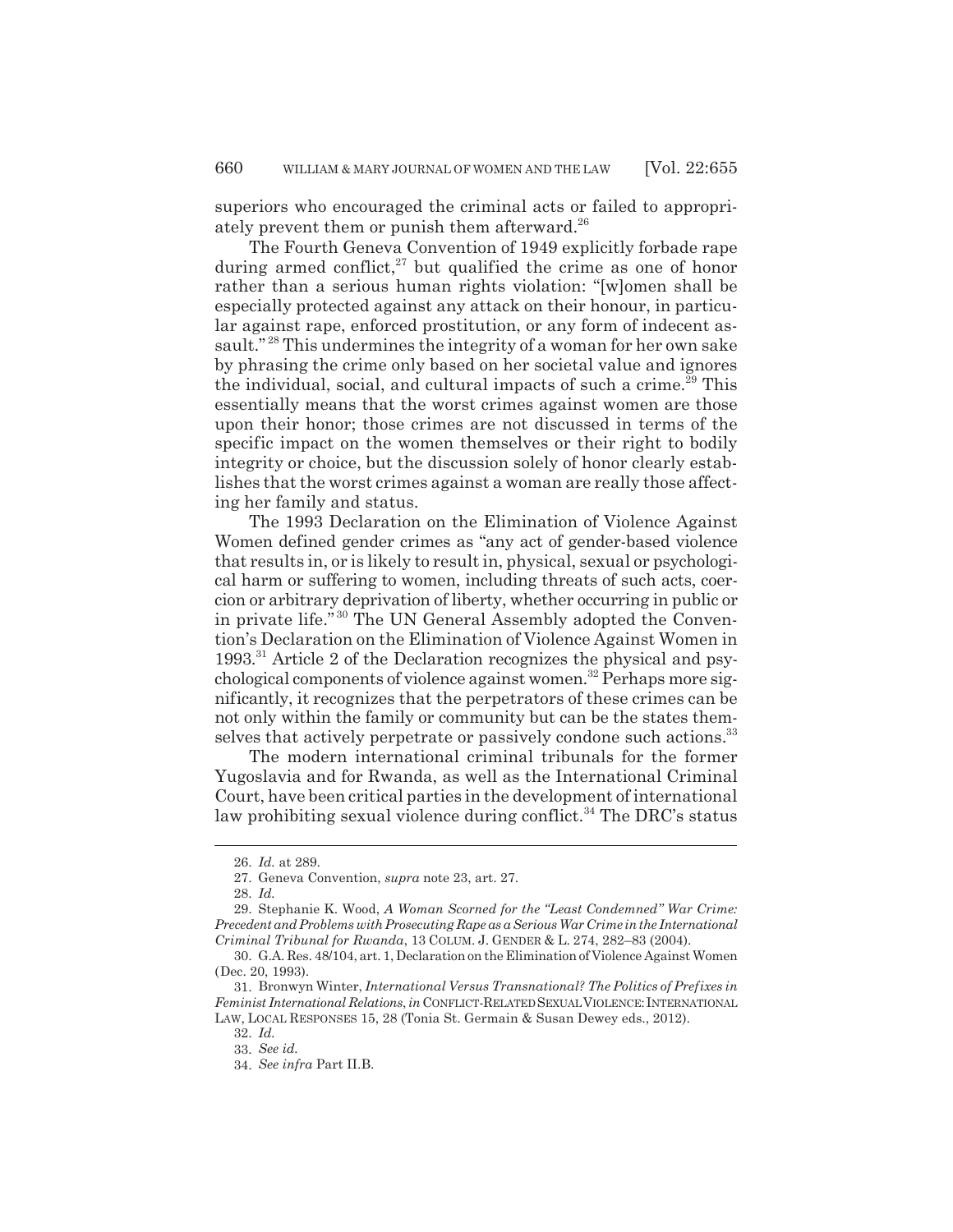superiors who encouraged the criminal acts or failed to appropriately prevent them or punish them afterward.<sup>26</sup>

The Fourth Geneva Convention of 1949 explicitly forbade rape during armed conflict, $^{27}$  but qualified the crime as one of honor rather than a serious human rights violation: "[w]omen shall be especially protected against any attack on their honour, in particular against rape, enforced prostitution, or any form of indecent assault."<sup>28</sup> This undermines the integrity of a woman for her own sake by phrasing the crime only based on her societal value and ignores the individual, social, and cultural impacts of such a crime.<sup>29</sup> This essentially means that the worst crimes against women are those upon their honor; those crimes are not discussed in terms of the specific impact on the women themselves or their right to bodily integrity or choice, but the discussion solely of honor clearly establishes that the worst crimes against a woman are really those affecting her family and status.

The 1993 Declaration on the Elimination of Violence Against Women defined gender crimes as "any act of gender-based violence that results in, or is likely to result in, physical, sexual or psychological harm or suffering to women, including threats of such acts, coercion or arbitrary deprivation of liberty, whether occurring in public or in private life." 30 The UN General Assembly adopted the Convention's Declaration on the Elimination of Violence Against Women in 1993.31 Article 2 of the Declaration recognizes the physical and psychological components of violence against women.32 Perhaps more significantly, it recognizes that the perpetrators of these crimes can be not only within the family or community but can be the states themselves that actively perpetrate or passively condone such actions.<sup>33</sup>

The modern international criminal tribunals for the former Yugoslavia and for Rwanda, as well as the International Criminal Court, have been critical parties in the development of international law prohibiting sexual violence during conflict.<sup>34</sup> The DRC's status

<sup>26.</sup> *Id.* at 289.

<sup>27.</sup> Geneva Convention, *supra* note 23, art. 27.

<sup>28.</sup> *Id.*

<sup>29.</sup> Stephanie K. Wood, *A Woman Scorned for the "Least Condemned" War Crime: Precedent and Problems with Prosecuting Rape as a Serious War Crime in the International Criminal Tribunal for Rwanda*, 13 COLUM. J. GENDER & L. 274, 282–83 (2004).

<sup>30.</sup> G.A. Res. 48/104, art. 1, Declaration on the Elimination of Violence Against Women (Dec. 20, 1993).

<sup>31.</sup> Bronwyn Winter, *International Versus Transnational? The Politics of Prefixes in Feminist International Relations*, *in* CONFLICT-RELATED SEXUAL VIOLENCE: INTERNATIONAL LAW, LOCAL RESPONSES 15, 28 (Tonia St. Germain & Susan Dewey eds., 2012).

<sup>32.</sup> *Id.* 33. *See id.*

<sup>34.</sup> *See infra* Part II.B.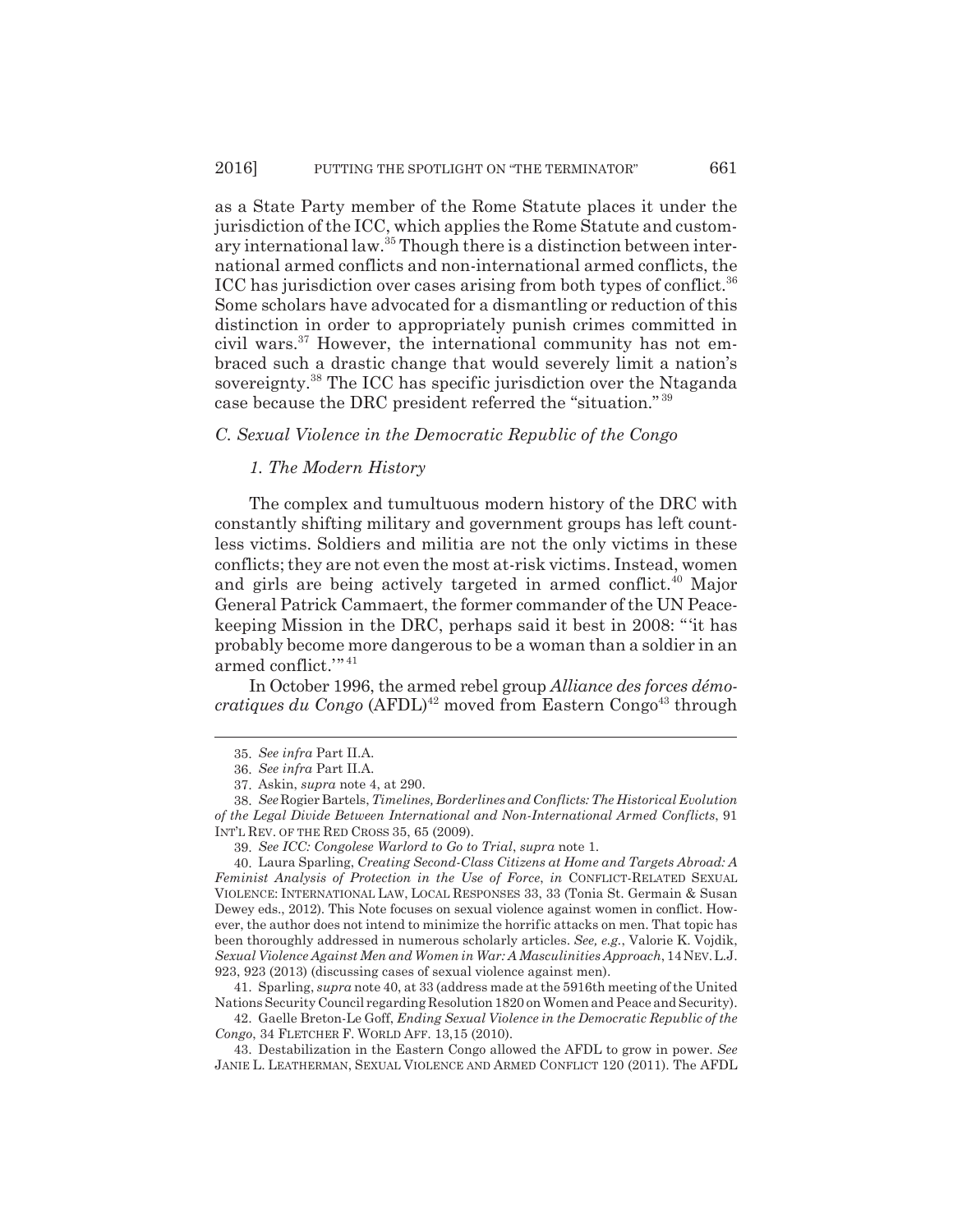as a State Party member of the Rome Statute places it under the jurisdiction of the ICC, which applies the Rome Statute and customary international law.35 Though there is a distinction between international armed conflicts and non-international armed conflicts, the ICC has jurisdiction over cases arising from both types of conflict.<sup>36</sup> Some scholars have advocated for a dismantling or reduction of this distinction in order to appropriately punish crimes committed in civil wars.37 However, the international community has not embraced such a drastic change that would severely limit a nation's sovereignty.<sup>38</sup> The ICC has specific jurisdiction over the Ntaganda case because the DRC president referred the "situation." <sup>39</sup>

## *C. Sexual Violence in the Democratic Republic of the Congo*

#### *1. The Modern History*

The complex and tumultuous modern history of the DRC with constantly shifting military and government groups has left countless victims. Soldiers and militia are not the only victims in these conflicts; they are not even the most at-risk victims. Instead, women and girls are being actively targeted in armed conflict.<sup>40</sup> Major General Patrick Cammaert, the former commander of the UN Peacekeeping Mission in the DRC, perhaps said it best in 2008: "'it has probably become more dangerous to be a woman than a soldier in an armed conflict.'" <sup>41</sup>

In October 1996, the armed rebel group *Alliance des forces démocratiques du Congo* (AFDL)<sup>42</sup> moved from Eastern Congo<sup>43</sup> through

41. Sparling, *supra* note 40, at 33 (address made at the 5916th meeting of the United Nations Security Council regarding Resolution 1820 on Women and Peace and Security).

42. Gaelle Breton-Le Goff, *Ending Sexual Violence in the Democratic Republic of the Congo*, 34 FLETCHER F. WORLD AFF. 13,15 (2010).

<sup>35.</sup> *See infra* Part II.A.

<sup>36.</sup> *See infra* Part II.A.

<sup>37.</sup> Askin, *supra* note 4, at 290.

<sup>38.</sup> *See* Rogier Bartels, *Timelines, Borderlines and Conflicts: The Historical Evolution of the Legal Divide Between International and Non-International Armed Conflicts*, 91 INT'L REV. OF THE RED CROSS 35, 65 (2009).

<sup>39.</sup> *See ICC: Congolese Warlord to Go to Trial*, *supra* note 1.

<sup>40.</sup> Laura Sparling, *Creating Second-Class Citizens at Home and Targets Abroad: A Feminist Analysis of Protection in the Use of Force*, *in* CONFLICT-RELATED SEXUAL VIOLENCE: INTERNATIONAL LAW, LOCAL RESPONSES 33, 33 (Tonia St. Germain & Susan Dewey eds., 2012). This Note focuses on sexual violence against women in conflict. However, the author does not intend to minimize the horrific attacks on men. That topic has been thoroughly addressed in numerous scholarly articles. *See, e.g.*, Valorie K. Vojdik, *Sexual Violence Against Men and Women in War: A Masculinities Approach*, 14NEV.L.J. 923, 923 (2013) (discussing cases of sexual violence against men).

<sup>43.</sup> Destabilization in the Eastern Congo allowed the AFDL to grow in power. *See* JANIE L. LEATHERMAN, SEXUAL VIOLENCE AND ARMED CONFLICT 120 (2011). The AFDL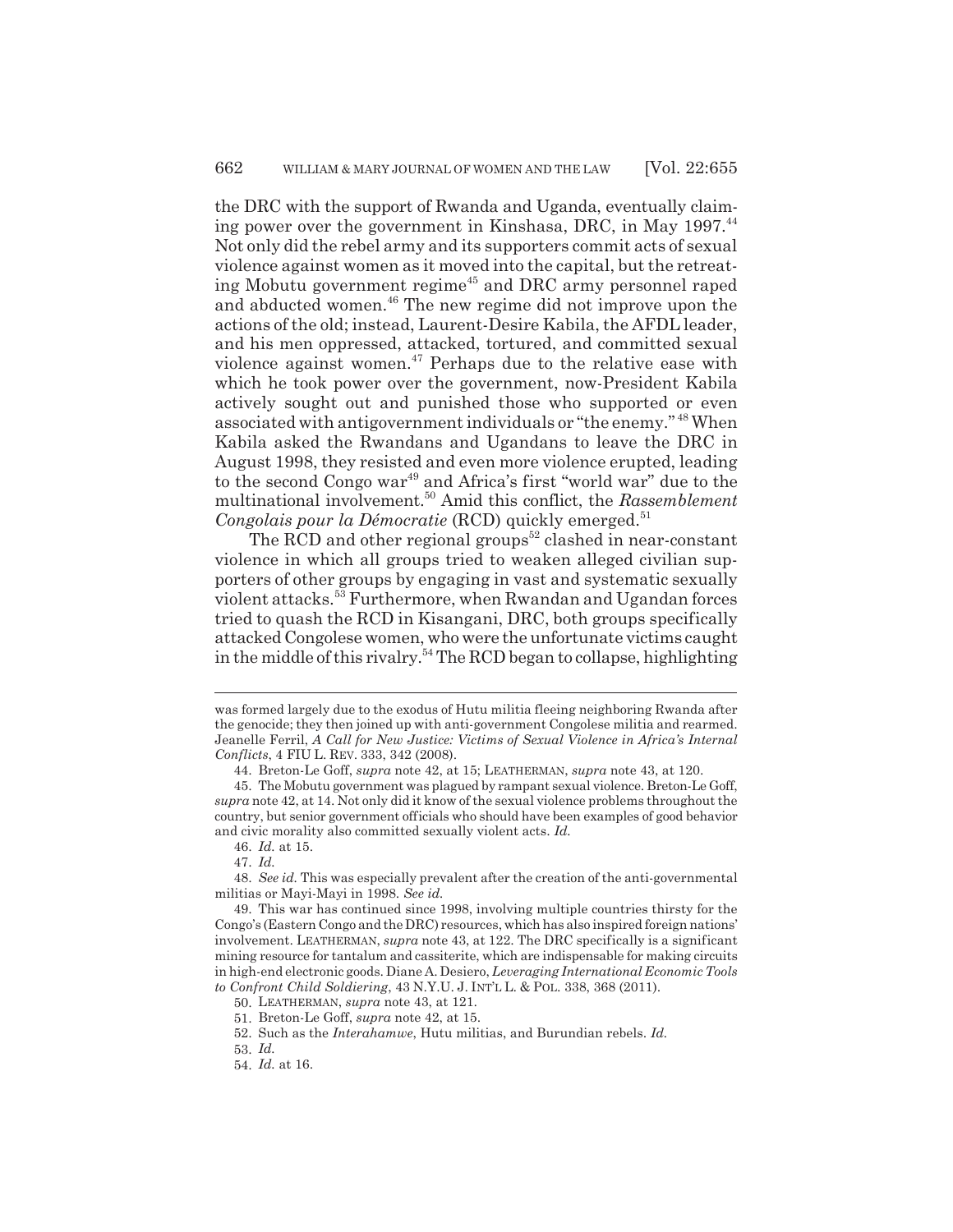the DRC with the support of Rwanda and Uganda, eventually claiming power over the government in Kinshasa, DRC, in May 1997.<sup>44</sup> Not only did the rebel army and its supporters commit acts of sexual violence against women as it moved into the capital, but the retreating Mobutu government regime<sup> $45$ </sup> and DRC army personnel raped and abducted women.<sup>46</sup> The new regime did not improve upon the actions of the old; instead, Laurent-Desire Kabila, the AFDL leader, and his men oppressed, attacked, tortured, and committed sexual violence against women.47 Perhaps due to the relative ease with which he took power over the government, now-President Kabila actively sought out and punished those who supported or even associated with antigovernment individuals or "the enemy." 48 When Kabila asked the Rwandans and Ugandans to leave the DRC in August 1998, they resisted and even more violence erupted, leading to the second Congo war<sup>49</sup> and Africa's first "world war" due to the multinational involvement.50 Amid this conflict, the *Rassemblement Congolais pour la Démocratie* (RCD) quickly emerged.<sup>51</sup>

The RCD and other regional groups<sup> $52$ </sup> clashed in near-constant violence in which all groups tried to weaken alleged civilian supporters of other groups by engaging in vast and systematic sexually violent attacks.53 Furthermore, when Rwandan and Ugandan forces tried to quash the RCD in Kisangani, DRC, both groups specifically attacked Congolese women, who were the unfortunate victims caught in the middle of this rivalry.<sup>54</sup> The RCD began to collapse, highlighting

was formed largely due to the exodus of Hutu militia fleeing neighboring Rwanda after the genocide; they then joined up with anti-government Congolese militia and rearmed. Jeanelle Ferril, *A Call for New Justice: Victims of Sexual Violence in Africa's Internal Conflicts*, 4 FIU L. REV. 333, 342 (2008).

<sup>44.</sup> Breton-Le Goff, *supra* note 42, at 15; LEATHERMAN, *supra* note 43, at 120.

<sup>45.</sup> The Mobutu government was plagued by rampant sexual violence. Breton-Le Goff, *supra* note 42, at 14. Not only did it know of the sexual violence problems throughout the country, but senior government officials who should have been examples of good behavior and civic morality also committed sexually violent acts. *Id.*

<sup>46.</sup> *Id.* at 15.

<sup>47.</sup> *Id.*

<sup>48.</sup> *See id.* This was especially prevalent after the creation of the anti-governmental militias or Mayi-Mayi in 1998. *See id.*

<sup>49.</sup> This war has continued since 1998, involving multiple countries thirsty for the Congo's (Eastern Congo and the DRC) resources, which has also inspired foreign nations' involvement. LEATHERMAN, *supra* note 43, at 122. The DRC specifically is a significant mining resource for tantalum and cassiterite, which are indispensable for making circuits in high-end electronic goods. Diane A. Desiero, *Leveraging International Economic Tools to Confront Child Soldiering*, 43 N.Y.U. J. INT'L L. & POL. 338, 368 (2011).

<sup>50.</sup> LEATHERMAN, *supra* note 43, at 121.

<sup>51.</sup> Breton-Le Goff, *supra* note 42, at 15.

<sup>52.</sup> Such as the *Interahamwe*, Hutu militias, and Burundian rebels. *Id.*

<sup>53.</sup> *Id.*

<sup>54.</sup> *Id.* at 16.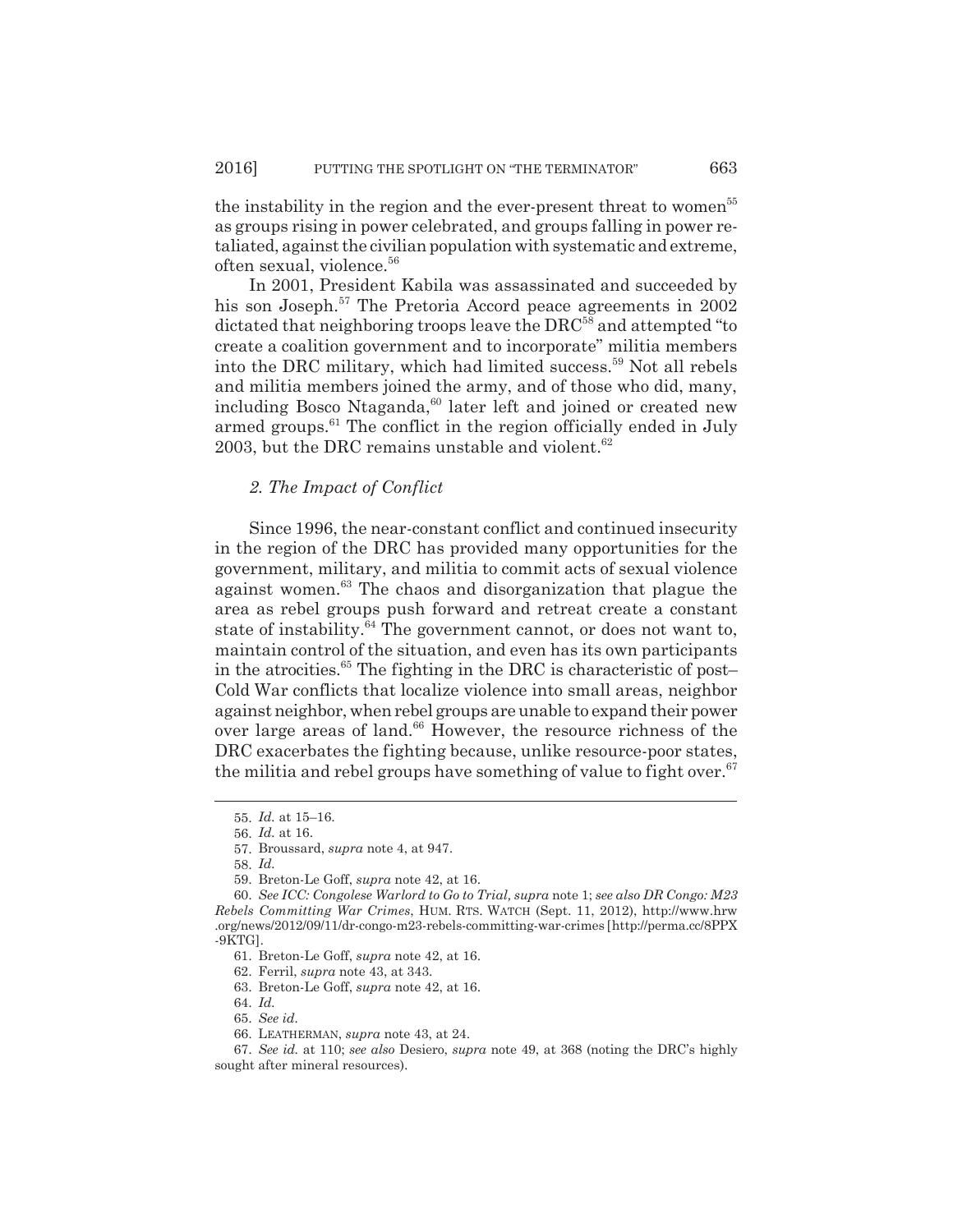the instability in the region and the ever-present threat to women<sup>55</sup> as groups rising in power celebrated, and groups falling in power retaliated, against the civilian population with systematic and extreme, often sexual, violence.56

In 2001, President Kabila was assassinated and succeeded by his son Joseph.<sup>57</sup> The Pretoria Accord peace agreements in 2002 dictated that neighboring troops leave the DRC<sup>58</sup> and attempted "to create a coalition government and to incorporate" militia members into the DRC military, which had limited success.59 Not all rebels and militia members joined the army, and of those who did, many, including Bosco Ntaganda,<sup>60</sup> later left and joined or created new armed groups. $61$  The conflict in the region officially ended in July 2003, but the DRC remains unstable and violent. $62$ 

## *2. The Impact of Conflict*

Since 1996, the near-constant conflict and continued insecurity in the region of the DRC has provided many opportunities for the government, military, and militia to commit acts of sexual violence against women.<sup>63</sup> The chaos and disorganization that plague the area as rebel groups push forward and retreat create a constant state of instability.<sup>64</sup> The government cannot, or does not want to, maintain control of the situation, and even has its own participants in the atrocities.<sup>65</sup> The fighting in the DRC is characteristic of post-Cold War conflicts that localize violence into small areas, neighbor against neighbor, when rebel groups are unable to expand their power over large areas of land.<sup>66</sup> However, the resource richness of the DRC exacerbates the fighting because, unlike resource-poor states, the militia and rebel groups have something of value to fight over. $67$ 

<sup>55.</sup> *Id.* at 15–16.

<sup>56.</sup> *Id.* at 16.

<sup>57.</sup> Broussard, *supra* note 4, at 947.

<sup>58.</sup> *Id.*

<sup>59.</sup> Breton-Le Goff, *supra* note 42, at 16.

<sup>60.</sup> *See ICC: Congolese Warlord to Go to Trial, supra* note 1; *see also DR Congo: M23 Rebels Committing War Crimes*, HUM. RTS. WATCH (Sept. 11, 2012), http://www.hrw .org/news/2012/09/11/dr-congo-m23-rebels-committing-war-crimes [http://perma.cc/8PPX -9KTG].

<sup>61.</sup> Breton-Le Goff, *supra* note 42, at 16.

<sup>62.</sup> Ferril, *supra* note 43, at 343.

<sup>63.</sup> Breton-Le Goff, *supra* note 42, at 16.

<sup>64.</sup> *Id.*

<sup>65.</sup> *See id.*

<sup>66.</sup> LEATHERMAN, *supra* note 43, at 24.

<sup>67.</sup> *See id.* at 110; *see also* Desiero, *supra* note 49, at 368 (noting the DRC's highly sought after mineral resources).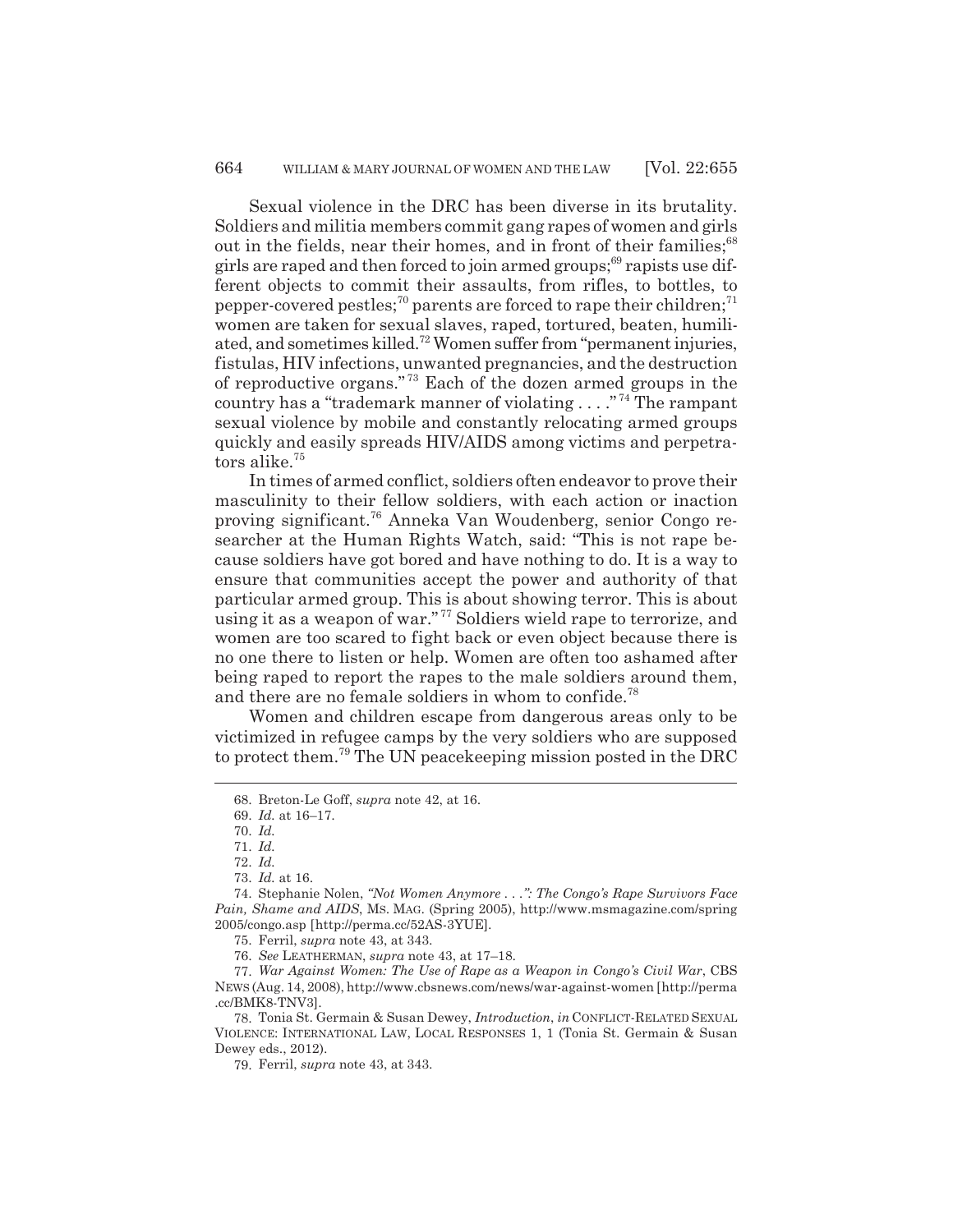Sexual violence in the DRC has been diverse in its brutality. Soldiers and militia members commit gang rapes of women and girls out in the fields, near their homes, and in front of their families;<sup>68</sup> girls are raped and then forced to join armed groups;<sup>69</sup> rapists use different objects to commit their assaults, from rifles, to bottles, to pepper-covered pestles;<sup>70</sup> parents are forced to rape their children;<sup>71</sup> women are taken for sexual slaves, raped, tortured, beaten, humiliated, and sometimes killed.72 Women suffer from "permanent injuries, fistulas, HIV infections, unwanted pregnancies, and the destruction of reproductive organs." 73 Each of the dozen armed groups in the country has a "trademark manner of violating . . . ." 74 The rampant sexual violence by mobile and constantly relocating armed groups quickly and easily spreads HIV/AIDS among victims and perpetrators alike.<sup>75</sup>

In times of armed conflict, soldiers often endeavor to prove their masculinity to their fellow soldiers, with each action or inaction proving significant.76 Anneka Van Woudenberg, senior Congo researcher at the Human Rights Watch, said: "This is not rape because soldiers have got bored and have nothing to do. It is a way to ensure that communities accept the power and authority of that particular armed group. This is about showing terror. This is about using it as a weapon of war." 77 Soldiers wield rape to terrorize, and women are too scared to fight back or even object because there is no one there to listen or help. Women are often too ashamed after being raped to report the rapes to the male soldiers around them, and there are no female soldiers in whom to confide.<sup>78</sup>

Women and children escape from dangerous areas only to be victimized in refugee camps by the very soldiers who are supposed to protect them.79 The UN peacekeeping mission posted in the DRC

<sup>68.</sup> Breton-Le Goff, *supra* note 42, at 16.

<sup>69.</sup> *Id.* at 16–17.

<sup>70.</sup> *Id.*

<sup>71.</sup> *Id.*

<sup>72.</sup> *Id.*

<sup>73.</sup> *Id.* at 16.

<sup>74.</sup> Stephanie Nolen, *"Not Women Anymore . . .": The Congo's Rape Survivors Face Pain, Shame and AIDS*, MS. MAG. (Spring 2005), http://www.msmagazine.com/spring 2005/congo.asp [http://perma.cc/52AS-3YUE].

<sup>75.</sup> Ferril, *supra* note 43, at 343.

<sup>76.</sup> *See* LEATHERMAN, *supra* note 43, at 17–18.

<sup>77.</sup> *War Against Women: The Use of Rape as a Weapon in Congo's Civil War*, CBS NEWS (Aug. 14, 2008), http://www.cbsnews.com/news/war-against-women [http://perma .cc/BMK8-TNV3].

<sup>78.</sup> Tonia St. Germain & Susan Dewey, *Introduction*, *in* CONFLICT-RELATED SEXUAL VIOLENCE: INTERNATIONAL LAW, LOCAL RESPONSES 1, 1 (Tonia St. Germain & Susan Dewey eds., 2012).

<sup>79.</sup> Ferril, *supra* note 43, at 343.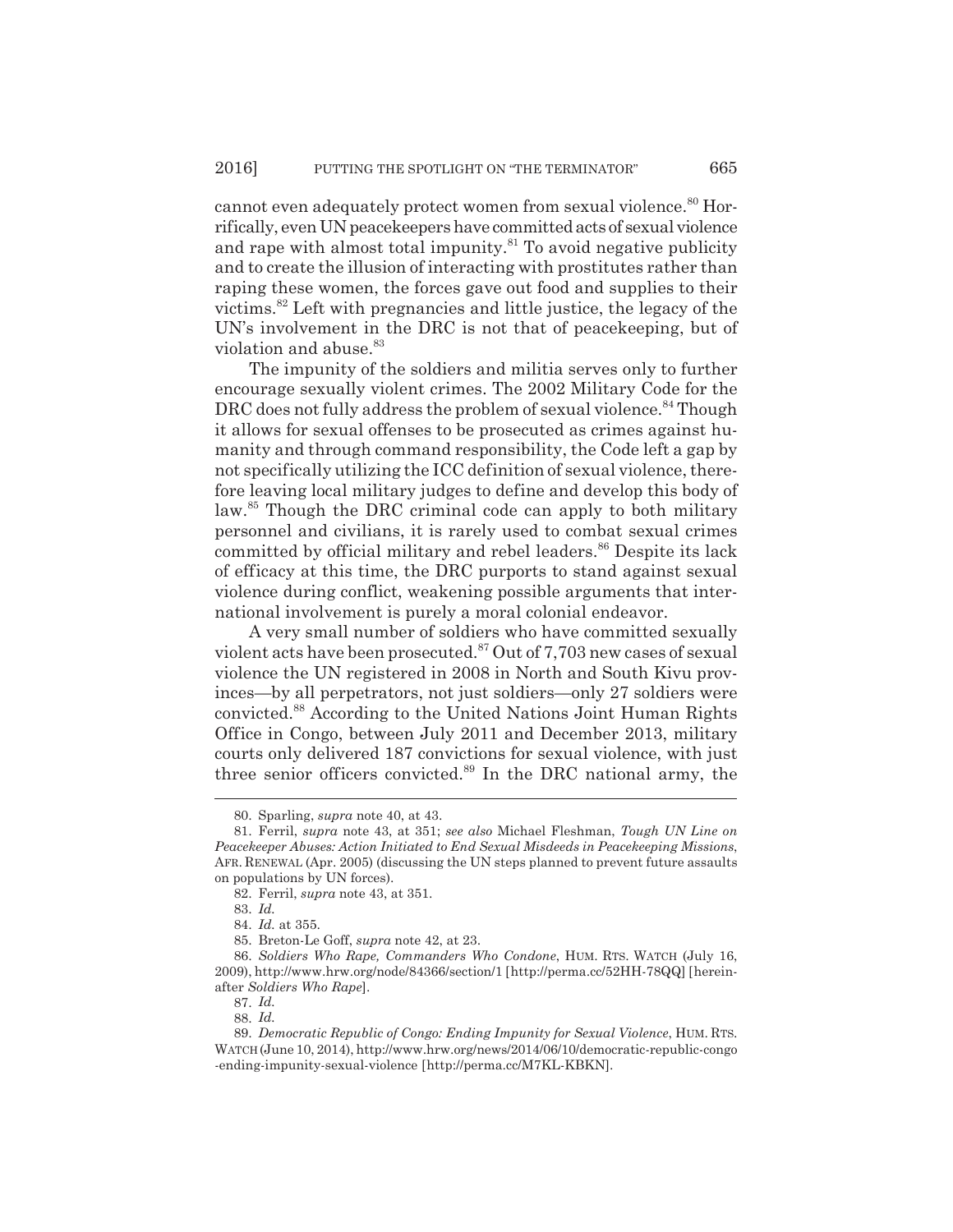cannot even adequately protect women from sexual violence.<sup>80</sup> Horrifically, even UN peacekeepers have committed acts of sexual violence and rape with almost total impunity. $81$  To avoid negative publicity and to create the illusion of interacting with prostitutes rather than raping these women, the forces gave out food and supplies to their victims.82 Left with pregnancies and little justice, the legacy of the UN's involvement in the DRC is not that of peacekeeping, but of violation and abuse.<sup>83</sup>

The impunity of the soldiers and militia serves only to further encourage sexually violent crimes. The 2002 Military Code for the DRC does not fully address the problem of sexual violence.<sup>84</sup> Though it allows for sexual offenses to be prosecuted as crimes against humanity and through command responsibility, the Code left a gap by not specifically utilizing the ICC definition of sexual violence, therefore leaving local military judges to define and develop this body of law.<sup>85</sup> Though the DRC criminal code can apply to both military personnel and civilians, it is rarely used to combat sexual crimes committed by official military and rebel leaders.<sup>86</sup> Despite its lack of efficacy at this time, the DRC purports to stand against sexual violence during conflict, weakening possible arguments that international involvement is purely a moral colonial endeavor.

A very small number of soldiers who have committed sexually violent acts have been prosecuted. $87$  Out of 7,703 new cases of sexual violence the UN registered in 2008 in North and South Kivu provinces—by all perpetrators, not just soldiers—only 27 soldiers were convicted.88 According to the United Nations Joint Human Rights Office in Congo, between July 2011 and December 2013, military courts only delivered 187 convictions for sexual violence, with just three senior officers convicted.<sup>89</sup> In the DRC national army, the

<sup>80.</sup> Sparling, *supra* note 40, at 43.

<sup>81.</sup> Ferril, *supra* note 43, at 351; *see also* Michael Fleshman, *Tough UN Line on Peacekeeper Abuses: Action Initiated to End Sexual Misdeeds in Peacekeeping Missions*, AFR. RENEWAL (Apr. 2005) (discussing the UN steps planned to prevent future assaults on populations by UN forces).

<sup>82.</sup> Ferril, *supra* note 43, at 351.

<sup>83.</sup> *Id.*

<sup>84.</sup> *Id.* at 355.

<sup>85.</sup> Breton-Le Goff, *supra* note 42, at 23.

<sup>86.</sup> *Soldiers Who Rape, Commanders Who Condone*, HUM. RTS. WATCH (July 16, 2009), http://www.hrw.org/node/84366/section/1 [http://perma.cc/52HH-78QQ] [hereinafter *Soldiers Who Rape*].

<sup>87.</sup> *Id.*

<sup>88.</sup> *Id.*

<sup>89.</sup> *Democratic Republic of Congo: Ending Impunity for Sexual Violence*, HUM. RTS. WATCH (June 10, 2014), http://www.hrw.org/news/2014/06/10/democratic-republic-congo -ending-impunity-sexual-violence [http://perma.cc/M7KL-KBKN].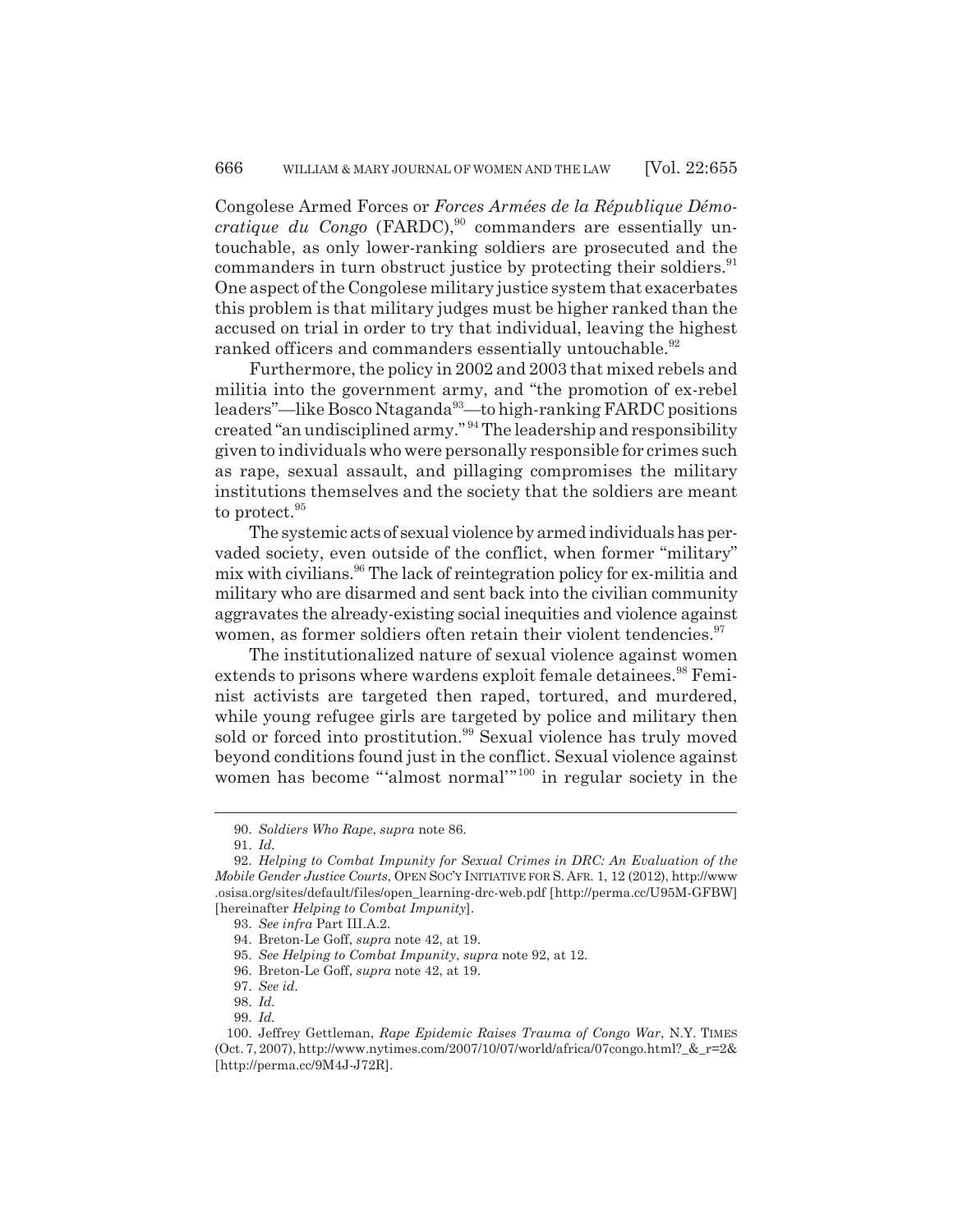Congolese Armed Forces or *Forces Armées de la République Démocratique du Congo* (FARDC),<sup>90</sup> commanders are essentially untouchable, as only lower-ranking soldiers are prosecuted and the commanders in turn obstruct justice by protecting their soldiers.<sup>91</sup> One aspect of the Congolese military justice system that exacerbates this problem is that military judges must be higher ranked than the accused on trial in order to try that individual, leaving the highest ranked officers and commanders essentially untouchable.<sup>92</sup>

Furthermore, the policy in 2002 and 2003 that mixed rebels and militia into the government army, and "the promotion of ex-rebel leaders"—like Bosco Ntaganda<sup>93</sup>—to high-ranking FARDC positions created "an undisciplined army." 94 The leadership and responsibility given to individuals who were personally responsible for crimes such as rape, sexual assault, and pillaging compromises the military institutions themselves and the society that the soldiers are meant to protect.<sup>95</sup>

The systemic acts of sexual violence by armed individuals has pervaded society, even outside of the conflict, when former "military" mix with civilians.<sup>96</sup> The lack of reintegration policy for ex-militia and military who are disarmed and sent back into the civilian community aggravates the already-existing social inequities and violence against women, as former soldiers often retain their violent tendencies.<sup>97</sup>

The institutionalized nature of sexual violence against women extends to prisons where wardens exploit female detainees.<sup>98</sup> Feminist activists are targeted then raped, tortured, and murdered, while young refugee girls are targeted by police and military then sold or forced into prostitution.<sup>99</sup> Sexual violence has truly moved beyond conditions found just in the conflict. Sexual violence against women has become "'almost normal'"100 in regular society in the

<sup>90.</sup> *Soldiers Who Rape*, *supra* note 86.

<sup>91.</sup> *Id.*

<sup>92.</sup> *Helping to Combat Impunity for Sexual Crimes in DRC: An Evaluation of the Mobile Gender Justice Courts*, OPEN SOC'Y INITIATIVE FOR S. AFR. 1, 12 (2012), http://www .osisa.org/sites/default/files/open\_learning-drc-web.pdf [http://perma.cc/U95M-GFBW] [hereinafter *Helping to Combat Impunity*].

<sup>93.</sup> *See infra* Part III.A.2.

<sup>94.</sup> Breton-Le Goff, *supra* note 42, at 19.

<sup>95.</sup> *See Helping to Combat Impunity*, *supra* note 92, at 12.

<sup>96.</sup> Breton-Le Goff, *supra* note 42, at 19.

<sup>97.</sup> *See id.*

<sup>98.</sup> *Id.*

<sup>99.</sup> *Id.*

<sup>100.</sup> Jeffrey Gettleman, *Rape Epidemic Raises Trauma of Congo War*, N.Y. TIMES (Oct. 7, 2007), http://www.nytimes.com/2007/10/07/world/africa/07congo.html?\_&\_r=2& [http://perma.cc/9M4J-J72R].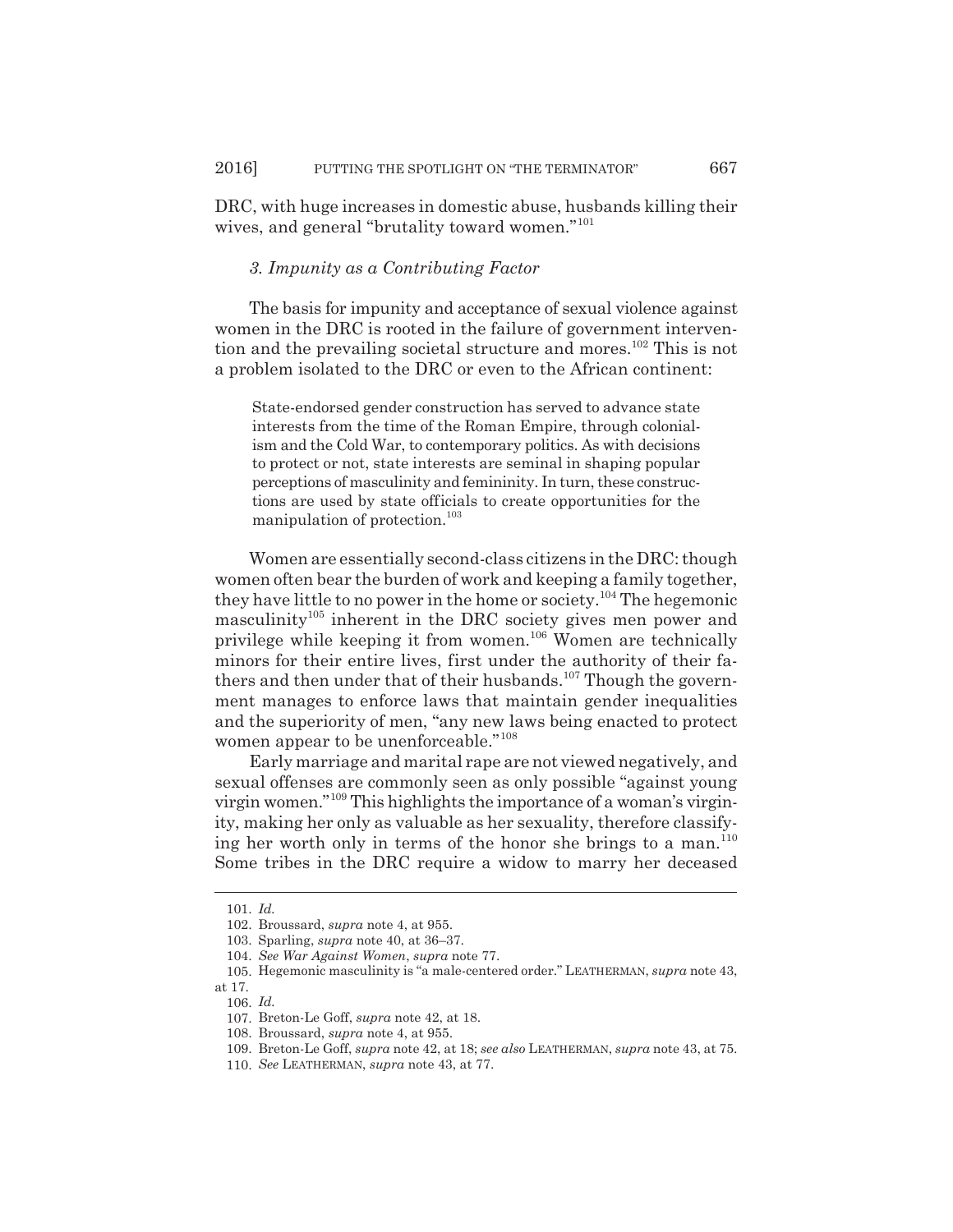DRC, with huge increases in domestic abuse, husbands killing their wives, and general "brutality toward women."<sup>101</sup>

## *3. Impunity as a Contributing Factor*

The basis for impunity and acceptance of sexual violence against women in the DRC is rooted in the failure of government intervention and the prevailing societal structure and mores.<sup>102</sup> This is not a problem isolated to the DRC or even to the African continent:

State-endorsed gender construction has served to advance state interests from the time of the Roman Empire, through colonialism and the Cold War, to contemporary politics. As with decisions to protect or not, state interests are seminal in shaping popular perceptions of masculinity and femininity. In turn, these constructions are used by state officials to create opportunities for the manipulation of protection.<sup>103</sup>

Women are essentially second-class citizens in the DRC: though women often bear the burden of work and keeping a family together, they have little to no power in the home or society.<sup>104</sup> The hegemonic masculinity<sup>105</sup> inherent in the DRC society gives men power and privilege while keeping it from women.<sup>106</sup> Women are technically minors for their entire lives, first under the authority of their fathers and then under that of their husbands.<sup>107</sup> Though the government manages to enforce laws that maintain gender inequalities and the superiority of men, "any new laws being enacted to protect women appear to be unenforceable."108

Early marriage and marital rape are not viewed negatively, and sexual offenses are commonly seen as only possible "against young virgin women."109 This highlights the importance of a woman's virginity, making her only as valuable as her sexuality, therefore classifying her worth only in terms of the honor she brings to a man.<sup>110</sup> Some tribes in the DRC require a widow to marry her deceased

<sup>101.</sup> *Id.*

<sup>102.</sup> Broussard, *supra* note 4, at 955.

<sup>103.</sup> Sparling, *supra* note 40, at 36–37.

<sup>104.</sup> *See War Against Women*, *supra* note 77.

<sup>105.</sup> Hegemonic masculinity is "a male-centered order." LEATHERMAN, *supra* note 43,

at 17. 106. *Id.*

<sup>107.</sup> Breton-Le Goff, *supra* note 42, at 18.

<sup>108.</sup> Broussard, *supra* note 4, at 955.

<sup>109.</sup> Breton-Le Goff, *supra* note 42, at 18; *see also* LEATHERMAN, *supra* note 43, at 75.

<sup>110.</sup> *See* LEATHERMAN, *supra* note 43, at 77.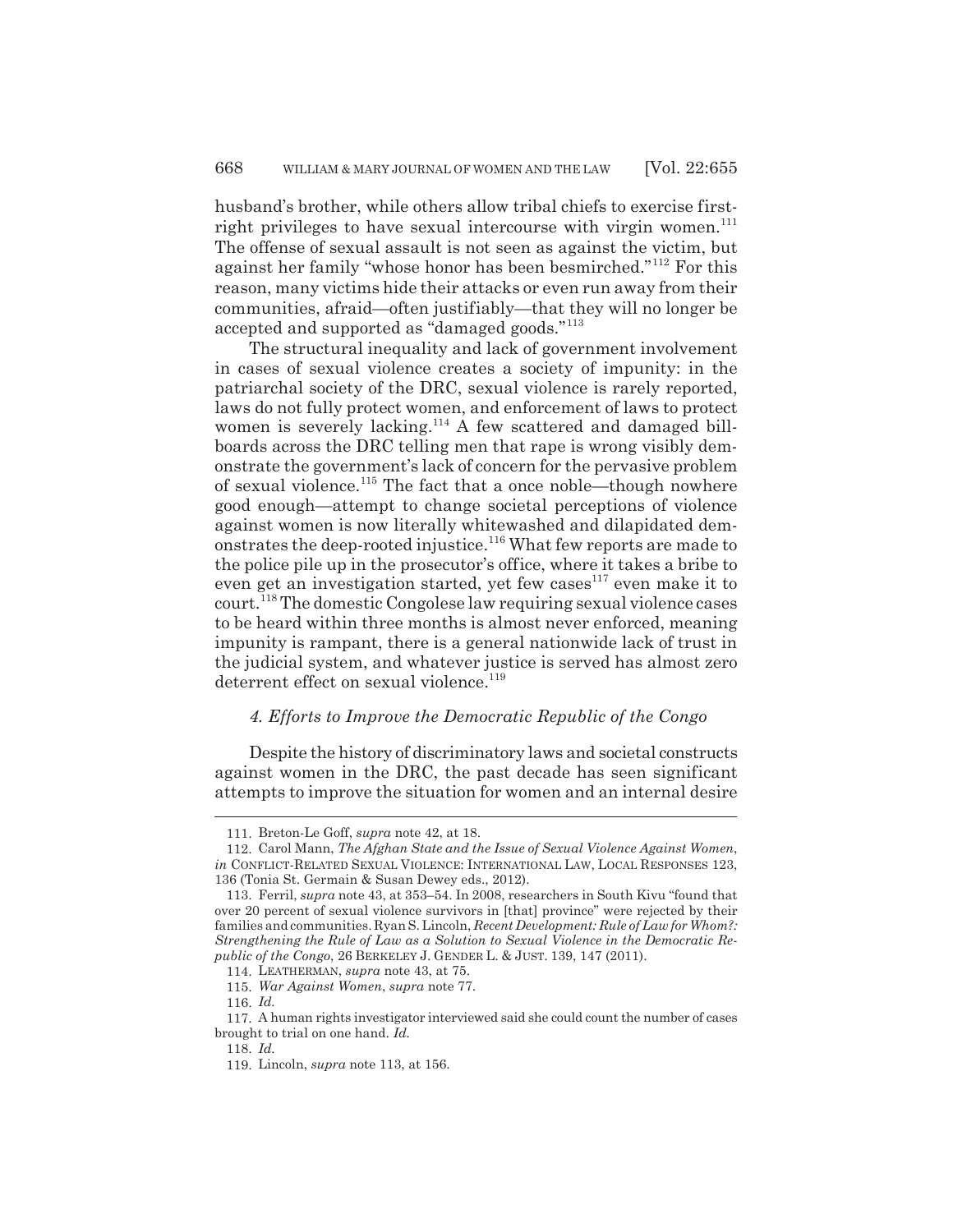husband's brother, while others allow tribal chiefs to exercise firstright privileges to have sexual intercourse with virgin women. $^{111}$ The offense of sexual assault is not seen as against the victim, but against her family "whose honor has been besmirched."112 For this reason, many victims hide their attacks or even run away from their communities, afraid—often justifiably—that they will no longer be accepted and supported as "damaged goods."<sup>113</sup>

The structural inequality and lack of government involvement in cases of sexual violence creates a society of impunity: in the patriarchal society of the DRC, sexual violence is rarely reported, laws do not fully protect women, and enforcement of laws to protect women is severely lacking.<sup>114</sup> A few scattered and damaged billboards across the DRC telling men that rape is wrong visibly demonstrate the government's lack of concern for the pervasive problem of sexual violence.<sup>115</sup> The fact that a once noble—though nowhere good enough—attempt to change societal perceptions of violence against women is now literally whitewashed and dilapidated demonstrates the deep-rooted injustice.<sup>116</sup> What few reports are made to the police pile up in the prosecutor's office, where it takes a bribe to even get an investigation started, yet few cases<sup>117</sup> even make it to court.118 The domestic Congolese law requiring sexual violence cases to be heard within three months is almost never enforced, meaning impunity is rampant, there is a general nationwide lack of trust in the judicial system, and whatever justice is served has almost zero deterrent effect on sexual violence.<sup>119</sup>

## *4. Efforts to Improve the Democratic Republic of the Congo*

Despite the history of discriminatory laws and societal constructs against women in the DRC, the past decade has seen significant attempts to improve the situation for women and an internal desire

<sup>111.</sup> Breton-Le Goff, *supra* note 42, at 18.

<sup>112.</sup> Carol Mann, *The Afghan State and the Issue of Sexual Violence Against Women*, *in* CONFLICT-RELATED SEXUAL VIOLENCE: INTERNATIONAL LAW, LOCAL RESPONSES 123, 136 (Tonia St. Germain & Susan Dewey eds., 2012).

<sup>113.</sup> Ferril, *supra* note 43, at 353–54. In 2008, researchers in South Kivu "found that over 20 percent of sexual violence survivors in [that] province" were rejected by their families and communities. Ryan S. Lincoln, *Recent Development: Rule of Law for Whom?: Strengthening the Rule of Law as a Solution to Sexual Violence in the Democratic Republic of the Congo*, 26 BERKELEY J. GENDER L. & JUST. 139, 147 (2011).

<sup>114.</sup> LEATHERMAN, *supra* note 43, at 75.

<sup>115.</sup> *War Against Women*, *supra* note 77.

<sup>116.</sup> *Id.*

<sup>117.</sup> A human rights investigator interviewed said she could count the number of cases brought to trial on one hand. *Id.*

<sup>118.</sup> *Id.*

<sup>119.</sup> Lincoln, *supra* note 113, at 156.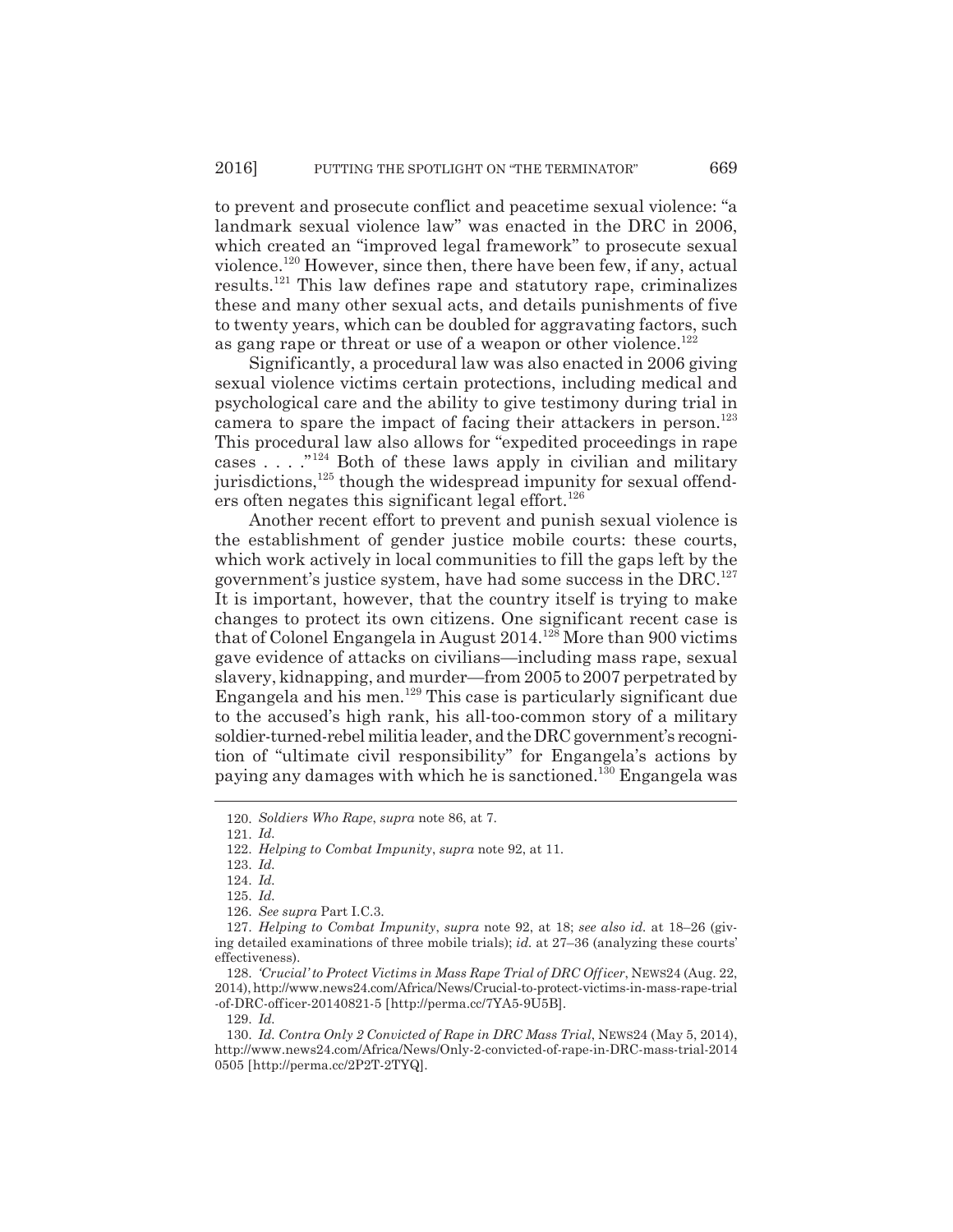to prevent and prosecute conflict and peacetime sexual violence: "a landmark sexual violence law" was enacted in the DRC in 2006, which created an "improved legal framework" to prosecute sexual violence.120 However, since then, there have been few, if any, actual results.121 This law defines rape and statutory rape, criminalizes these and many other sexual acts, and details punishments of five to twenty years, which can be doubled for aggravating factors, such as gang rape or threat or use of a weapon or other violence.<sup>122</sup>

Significantly, a procedural law was also enacted in 2006 giving sexual violence victims certain protections, including medical and psychological care and the ability to give testimony during trial in camera to spare the impact of facing their attackers in person.<sup>123</sup> This procedural law also allows for "expedited proceedings in rape cases . . . ."124 Both of these laws apply in civilian and military jurisdictions, $125$  though the widespread impunity for sexual offenders often negates this significant legal effort.<sup>126</sup>

Another recent effort to prevent and punish sexual violence is the establishment of gender justice mobile courts: these courts, which work actively in local communities to fill the gaps left by the government's justice system, have had some success in the  $DRC<sup>127</sup>$ It is important, however, that the country itself is trying to make changes to protect its own citizens. One significant recent case is that of Colonel Engangela in August  $2014.<sup>128</sup>$  More than 900 victims gave evidence of attacks on civilians—including mass rape, sexual slavery, kidnapping, and murder—from 2005 to 2007 perpetrated by Engangela and his men.<sup>129</sup> This case is particularly significant due to the accused's high rank, his all-too-common story of a military soldier-turned-rebel militia leader, and the DRC government's recognition of "ultimate civil responsibility" for Engangela's actions by paying any damages with which he is sanctioned.130 Engangela was

129. *Id.*

<sup>120.</sup> *Soldiers Who Rape*, *supra* note 86, at 7.

<sup>121.</sup> *Id.*

<sup>122.</sup> *Helping to Combat Impunity*, *supra* note 92, at 11.

<sup>123.</sup> *Id.*

<sup>124.</sup> *Id.*

<sup>125.</sup> *Id.*

<sup>126.</sup> *See supra* Part I.C.3.

<sup>127.</sup> *Helping to Combat Impunity*, *supra* note 92, at 18; *see also id.* at 18–26 (giving detailed examinations of three mobile trials); *id.* at 27–36 (analyzing these courts' effectiveness).

<sup>128.</sup> *'Crucial' to Protect Victims in Mass Rape Trial of DRC Officer*, NEWS24 (Aug. 22, 2014), http://www.news24.com/Africa/News/Crucial-to-protect-victims-in-mass-rape-trial -of-DRC-officer-20140821-5 [http://perma.cc/7YA5-9U5B].

<sup>130.</sup> *Id. Contra Only 2 Convicted of Rape in DRC Mass Trial*, NEWS24 (May 5, 2014), http://www.news24.com/Africa/News/Only-2-convicted-of-rape-in-DRC-mass-trial-2014 0505 [http://perma.cc/2P2T-2TYQ].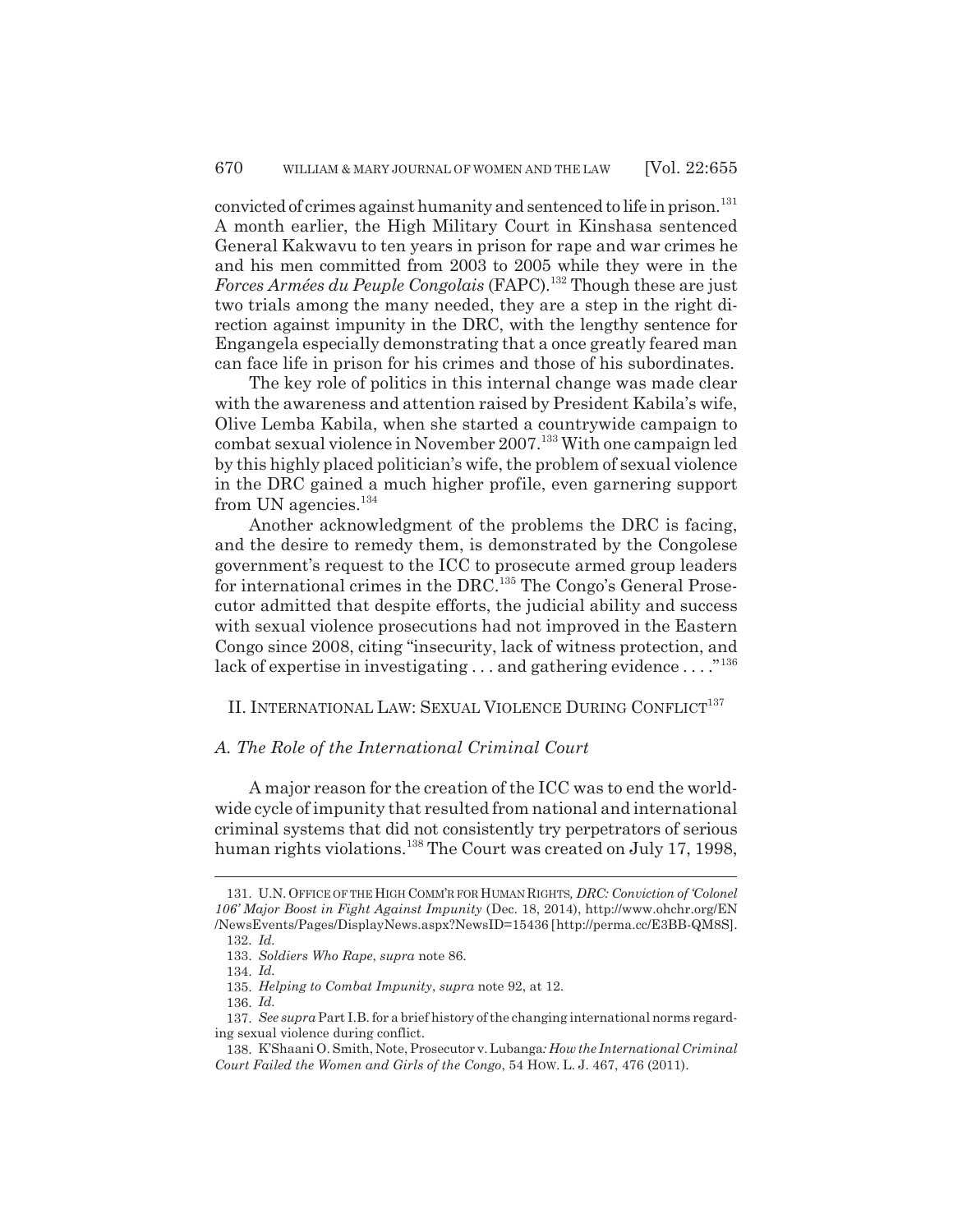convicted of crimes against humanity and sentenced to life in prison.<sup>131</sup> A month earlier, the High Military Court in Kinshasa sentenced General Kakwavu to ten years in prison for rape and war crimes he and his men committed from 2003 to 2005 while they were in the *Forces Armées du Peuple Congolais* (FAPC).<sup>132</sup> Though these are just two trials among the many needed, they are a step in the right direction against impunity in the DRC, with the lengthy sentence for Engangela especially demonstrating that a once greatly feared man can face life in prison for his crimes and those of his subordinates.

The key role of politics in this internal change was made clear with the awareness and attention raised by President Kabila's wife, Olive Lemba Kabila, when she started a countrywide campaign to combat sexual violence in November 2007.133 With one campaign led by this highly placed politician's wife, the problem of sexual violence in the DRC gained a much higher profile, even garnering support from UN agencies.<sup>134</sup>

Another acknowledgment of the problems the DRC is facing, and the desire to remedy them, is demonstrated by the Congolese government's request to the ICC to prosecute armed group leaders for international crimes in the DRC.<sup>135</sup> The Congo's General Prosecutor admitted that despite efforts, the judicial ability and success with sexual violence prosecutions had not improved in the Eastern Congo since 2008, citing "insecurity, lack of witness protection, and lack of expertise in investigating . . . and gathering evidence . . . . "<sup>136</sup>

II. INTERNATIONAL LAW: SEXUAL VIOLENCE DURING CONFLICT<sup>137</sup>

## *A. The Role of the International Criminal Court*

A major reason for the creation of the ICC was to end the worldwide cycle of impunity that resulted from national and international criminal systems that did not consistently try perpetrators of serious human rights violations.<sup>138</sup> The Court was created on July 17, 1998,

<sup>131.</sup> U.N.OFFICE OF THE HIGH COMM'R FOR HUMAN RIGHTS*, DRC: Conviction of 'Colonel 106' Major Boost in Fight Against Impunity* (Dec. 18, 2014), http://www.ohchr.org/EN /NewsEvents/Pages/DisplayNews.aspx?NewsID=15436 [http://perma.cc/E3BB-QM8S].

<sup>132.</sup> *Id.*

<sup>133.</sup> *Soldiers Who Rape*, *supra* note 86.

<sup>134.</sup> *Id.*

<sup>135.</sup> *Helping to Combat Impunity*, *supra* note 92, at 12.

<sup>136.</sup> *Id.*

<sup>137.</sup> *See supra* Part I.B. for a brief history of the changing international norms regarding sexual violence during conflict.

<sup>138.</sup> K'Shaani O. Smith, Note, Prosecutor v. Lubanga*: How the International Criminal Court Failed the Women and Girls of the Congo*, 54 HOW. L. J. 467, 476 (2011).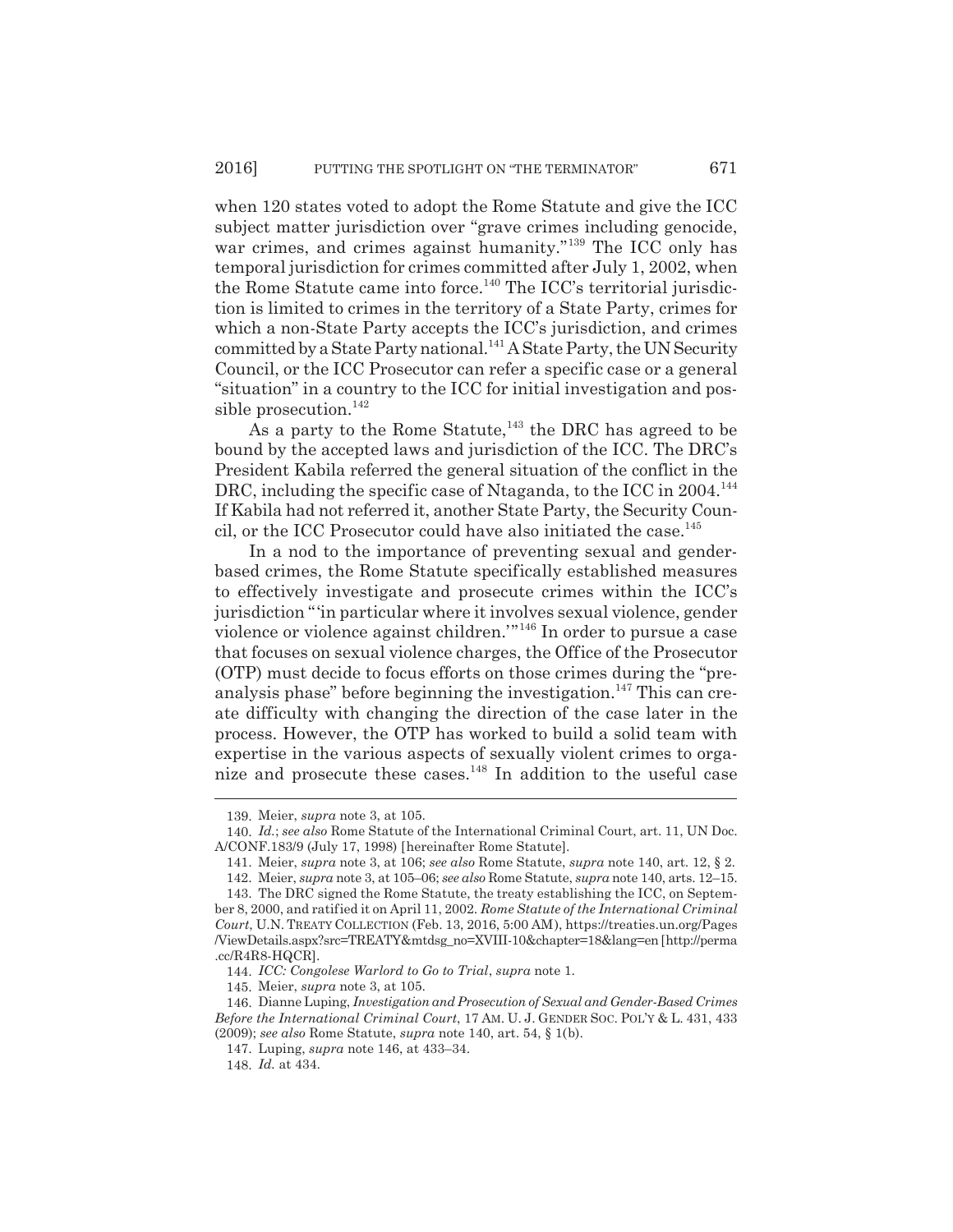when 120 states voted to adopt the Rome Statute and give the ICC subject matter jurisdiction over "grave crimes including genocide, war crimes, and crimes against humanity."<sup>139</sup> The ICC only has temporal jurisdiction for crimes committed after July 1, 2002, when the Rome Statute came into force.<sup>140</sup> The ICC's territorial jurisdiction is limited to crimes in the territory of a State Party, crimes for which a non-State Party accepts the ICC's jurisdiction, and crimes committed by a State Party national.<sup>141</sup> A State Party, the UN Security Council, or the ICC Prosecutor can refer a specific case or a general "situation" in a country to the ICC for initial investigation and possible prosecution. $^{142}$ 

As a party to the Rome Statute,  $143$  the DRC has agreed to be bound by the accepted laws and jurisdiction of the ICC. The DRC's President Kabila referred the general situation of the conflict in the DRC, including the specific case of Ntaganda, to the ICC in 2004.<sup>144</sup> If Kabila had not referred it, another State Party, the Security Council, or the ICC Prosecutor could have also initiated the case.<sup>145</sup>

In a nod to the importance of preventing sexual and genderbased crimes, the Rome Statute specifically established measures to effectively investigate and prosecute crimes within the ICC's jurisdiction "'in particular where it involves sexual violence, gender violence or violence against children.'"146 In order to pursue a case that focuses on sexual violence charges, the Office of the Prosecutor (OTP) must decide to focus efforts on those crimes during the "preanalysis phase" before beginning the investigation.<sup>147</sup> This can create difficulty with changing the direction of the case later in the process. However, the OTP has worked to build a solid team with expertise in the various aspects of sexually violent crimes to organize and prosecute these cases.148 In addition to the useful case

<sup>139.</sup> Meier, *supra* note 3, at 105.

<sup>140.</sup> *Id.*; *see also* Rome Statute of the International Criminal Court, art. 11, UN Doc. A/CONF.183/9 (July 17, 1998) [hereinafter Rome Statute].

<sup>141.</sup> Meier, *supra* note 3, at 106; *see also* Rome Statute, *supra* note 140, art. 12, § 2.

<sup>142.</sup> Meier, *supra* note 3, at 105–06; *see also* Rome Statute, *supra* note 140, arts. 12–15.

<sup>143.</sup> The DRC signed the Rome Statute, the treaty establishing the ICC, on September 8, 2000, and ratified it on April 11, 2002. *Rome Statute of the International Criminal Court*, U.N. TREATY COLLECTION (Feb. 13, 2016, 5:00 AM), https://treaties.un.org/Pages /ViewDetails.aspx?src=TREATY&mtdsg\_no=XVIII-10&chapter=18&lang=en [http://perma .cc/R4R8-HQCR].

<sup>144.</sup> *ICC: Congolese Warlord to Go to Trial*, *supra* note 1.

<sup>145.</sup> Meier, *supra* note 3, at 105.

<sup>146.</sup> Dianne Luping, *Investigation and Prosecution of Sexual and Gender-Based Crimes Before the International Criminal Court*, 17 AM. U. J. GENDER SOC. POL'Y & L. 431, 433 (2009); *see also* Rome Statute, *supra* note 140, art. 54, § 1(b).

<sup>147.</sup> Luping, *supra* note 146, at 433–34.

<sup>148.</sup> *Id.* at 434.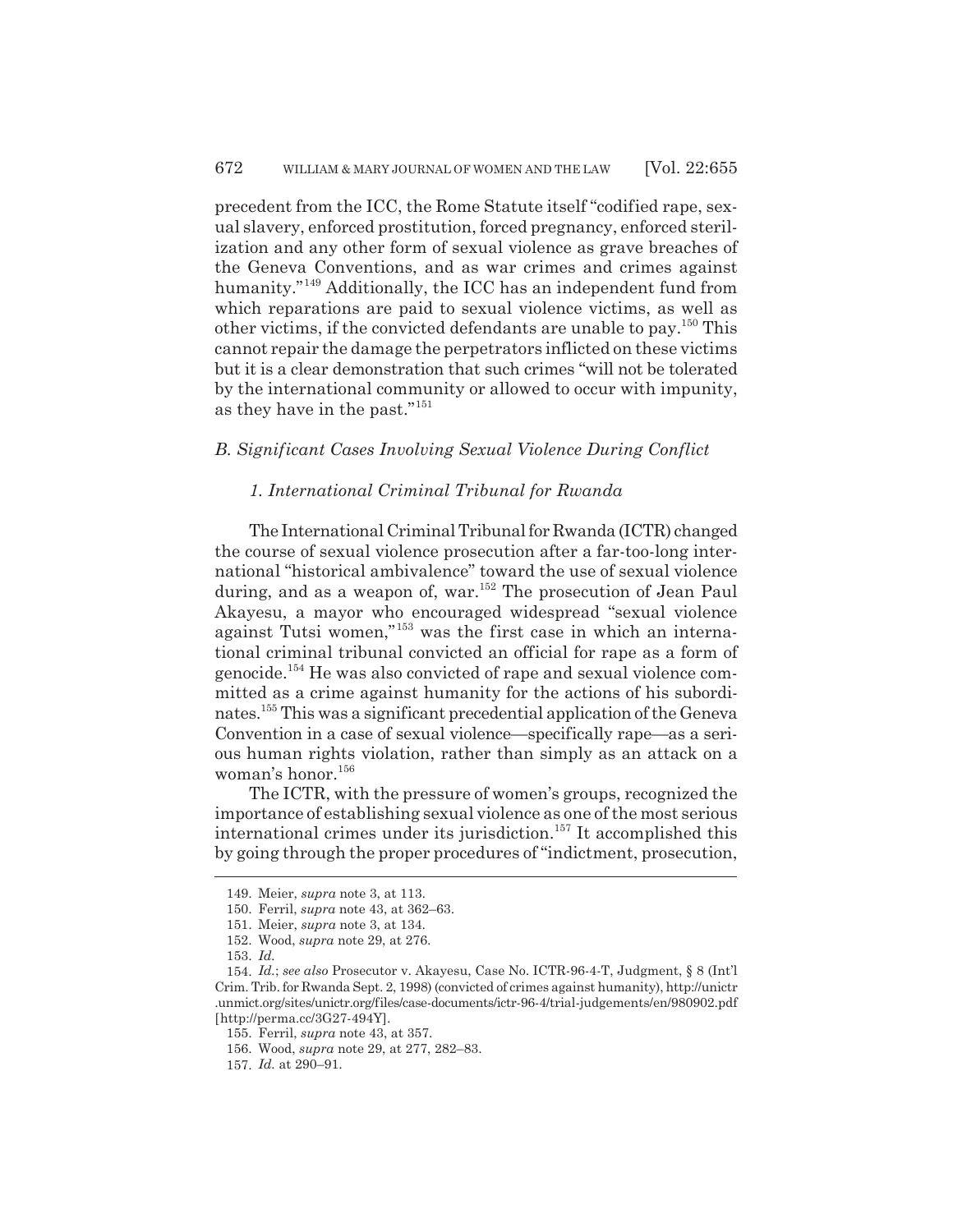precedent from the ICC, the Rome Statute itself "codified rape, sexual slavery, enforced prostitution, forced pregnancy, enforced sterilization and any other form of sexual violence as grave breaches of the Geneva Conventions, and as war crimes and crimes against humanity."<sup>149</sup> Additionally, the ICC has an independent fund from which reparations are paid to sexual violence victims, as well as other victims, if the convicted defendants are unable to pay.150 This cannot repair the damage the perpetrators inflicted on these victims but it is a clear demonstration that such crimes "will not be tolerated by the international community or allowed to occur with impunity, as they have in the past."151

## *B. Significant Cases Involving Sexual Violence During Conflict*

## *1. International Criminal Tribunal for Rwanda*

The International Criminal Tribunal for Rwanda (ICTR) changed the course of sexual violence prosecution after a far-too-long international "historical ambivalence" toward the use of sexual violence during, and as a weapon of, war.<sup>152</sup> The prosecution of Jean Paul Akayesu, a mayor who encouraged widespread "sexual violence against Tutsi women,"153 was the first case in which an international criminal tribunal convicted an official for rape as a form of genocide.154 He was also convicted of rape and sexual violence committed as a crime against humanity for the actions of his subordinates.155 This was a significant precedential application of the Geneva Convention in a case of sexual violence—specifically rape—as a serious human rights violation, rather than simply as an attack on a woman's honor.<sup>156</sup>

The ICTR, with the pressure of women's groups, recognized the importance of establishing sexual violence as one of the most serious international crimes under its jurisdiction.<sup>157</sup> It accomplished this by going through the proper procedures of "indictment, prosecution,

<sup>149.</sup> Meier, *supra* note 3, at 113.

<sup>150.</sup> Ferril, *supra* note 43, at 362–63.

<sup>151.</sup> Meier, *supra* note 3, at 134.

<sup>152.</sup> Wood, *supra* note 29, at 276.

<sup>153.</sup> *Id.*

<sup>154.</sup> *Id.*; *see also* Prosecutor v. Akayesu, Case No. ICTR-96-4-T, Judgment, § 8 (Int'l Crim. Trib. for Rwanda Sept. 2, 1998) (convicted of crimes against humanity), http://unictr .unmict.org/sites/unictr.org/files/case-documents/ictr-96-4/trial-judgements/en/980902.pdf [http://perma.cc/3G27-494Y].

<sup>155.</sup> Ferril, *supra* note 43, at 357.

<sup>156.</sup> Wood, *supra* note 29, at 277, 282–83.

<sup>157.</sup> *Id.* at 290–91.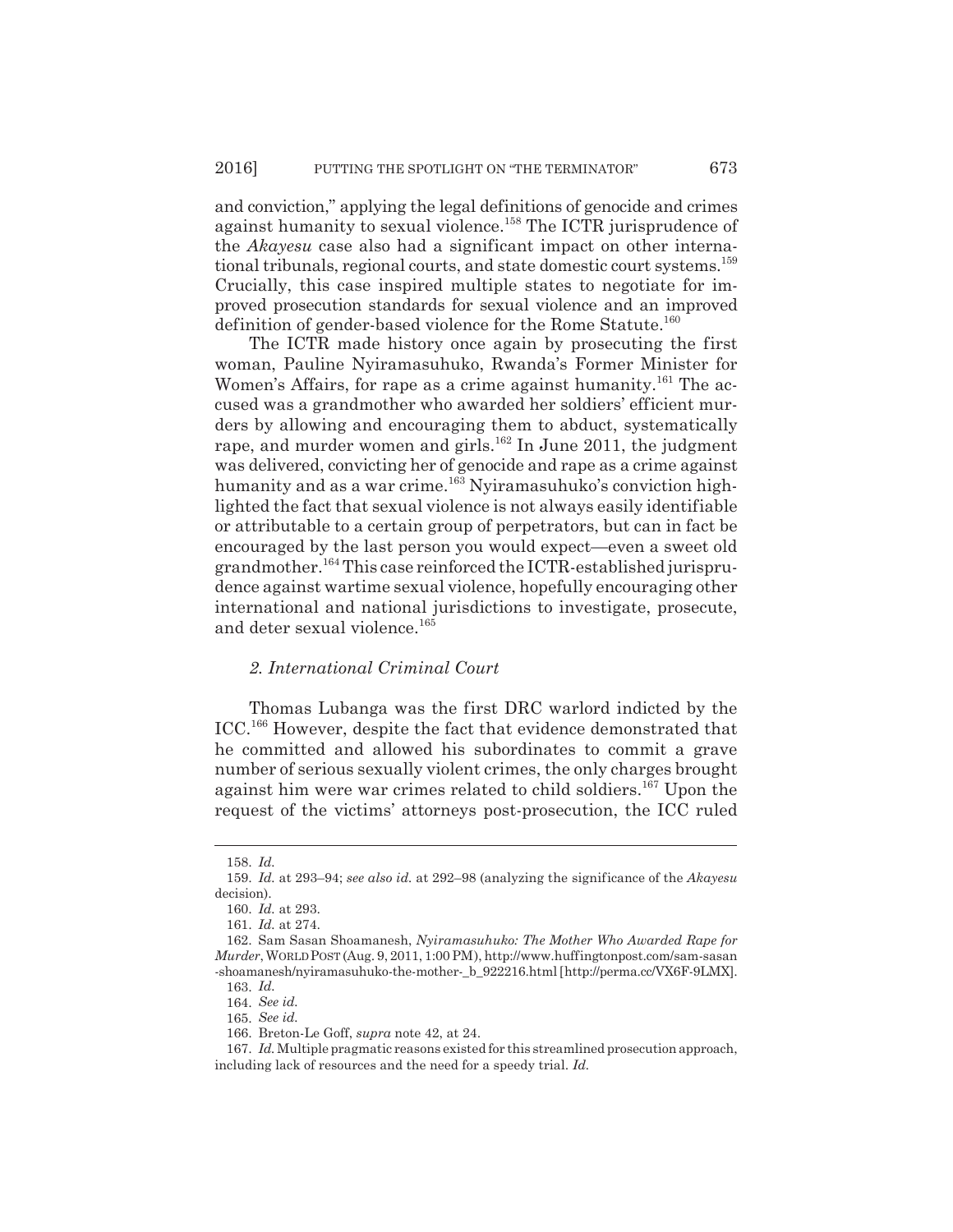and conviction," applying the legal definitions of genocide and crimes against humanity to sexual violence.<sup>158</sup> The ICTR jurisprudence of the *Akayesu* case also had a significant impact on other international tribunals, regional courts, and state domestic court systems.159 Crucially, this case inspired multiple states to negotiate for improved prosecution standards for sexual violence and an improved definition of gender-based violence for the Rome Statute.<sup>160</sup>

The ICTR made history once again by prosecuting the first woman, Pauline Nyiramasuhuko, Rwanda's Former Minister for Women's Affairs, for rape as a crime against humanity.<sup>161</sup> The accused was a grandmother who awarded her soldiers' efficient murders by allowing and encouraging them to abduct, systematically rape, and murder women and girls.<sup>162</sup> In June 2011, the judgment was delivered, convicting her of genocide and rape as a crime against humanity and as a war crime.163 Nyiramasuhuko's conviction highlighted the fact that sexual violence is not always easily identifiable or attributable to a certain group of perpetrators, but can in fact be encouraged by the last person you would expect—even a sweet old grandmother.<sup>164</sup> This case reinforced the ICTR-established jurisprudence against wartime sexual violence, hopefully encouraging other international and national jurisdictions to investigate, prosecute, and deter sexual violence.<sup>165</sup>

### *2. International Criminal Court*

Thomas Lubanga was the first DRC warlord indicted by the ICC.166 However, despite the fact that evidence demonstrated that he committed and allowed his subordinates to commit a grave number of serious sexually violent crimes, the only charges brought against him were war crimes related to child soldiers.<sup>167</sup> Upon the request of the victims' attorneys post-prosecution, the ICC ruled

<sup>158.</sup> *Id.*

<sup>159.</sup> *Id.* at 293–94; *see also id.* at 292–98 (analyzing the significance of the *Akayesu* decision).

<sup>160.</sup> *Id.* at 293.

<sup>161.</sup> *Id.* at 274.

<sup>162.</sup> Sam Sasan Shoamanesh, *Nyiramasuhuko: The Mother Who Awarded Rape for Murder*, WORLD POST (Aug. 9, 2011, 1:00 PM), http://www.huffingtonpost.com/sam-sasan -shoamanesh/nyiramasuhuko-the-mother-\_b\_922216.html [http://perma.cc/VX6F-9LMX]. 163. *Id.*

<sup>164.</sup> *See id.*

<sup>165.</sup> *See id.*

<sup>166.</sup> Breton-Le Goff, *supra* note 42, at 24.

<sup>167.</sup> *Id.* Multiple pragmatic reasons existed for this streamlined prosecution approach, including lack of resources and the need for a speedy trial. *Id.*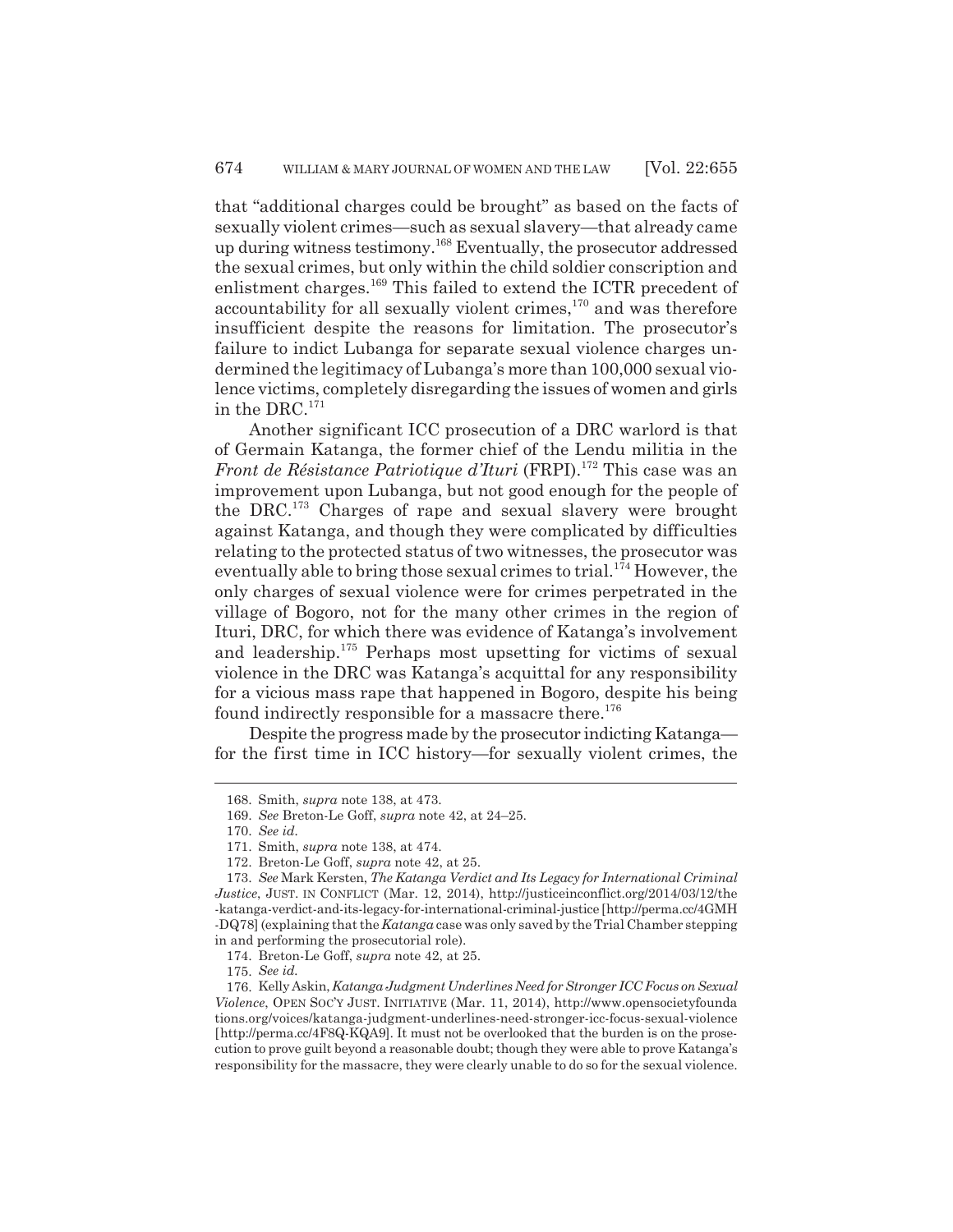that "additional charges could be brought" as based on the facts of sexually violent crimes—such as sexual slavery—that already came up during witness testimony.168 Eventually, the prosecutor addressed the sexual crimes, but only within the child soldier conscription and enlistment charges.169 This failed to extend the ICTR precedent of accountability for all sexually violent crimes, $170$  and was therefore insufficient despite the reasons for limitation. The prosecutor's failure to indict Lubanga for separate sexual violence charges undermined the legitimacy of Lubanga's more than 100,000 sexual violence victims, completely disregarding the issues of women and girls in the DRC. $^{171}$ 

Another significant ICC prosecution of a DRC warlord is that of Germain Katanga, the former chief of the Lendu militia in the *Front de Résistance Patriotique d'Ituri* (FRPI).<sup>172</sup> This case was an improvement upon Lubanga, but not good enough for the people of the DRC.173 Charges of rape and sexual slavery were brought against Katanga, and though they were complicated by difficulties relating to the protected status of two witnesses, the prosecutor was eventually able to bring those sexual crimes to trial.<sup>174</sup> However, the only charges of sexual violence were for crimes perpetrated in the village of Bogoro, not for the many other crimes in the region of Ituri, DRC, for which there was evidence of Katanga's involvement and leadership.175 Perhaps most upsetting for victims of sexual violence in the DRC was Katanga's acquittal for any responsibility for a vicious mass rape that happened in Bogoro, despite his being found indirectly responsible for a massacre there.<sup>176</sup>

Despite the progress made by the prosecutor indicting Katanga for the first time in ICC history—for sexually violent crimes, the

175. *See id.*

<sup>168.</sup> Smith, *supra* note 138, at 473.

<sup>169.</sup> *See* Breton-Le Goff, *supra* note 42, at 24–25.

<sup>170.</sup> *See id.*

<sup>171.</sup> Smith, *supra* note 138, at 474.

<sup>172.</sup> Breton-Le Goff, *supra* note 42, at 25.

<sup>173.</sup> *See* Mark Kersten, *The Katanga Verdict and Its Legacy for International Criminal Justice*, JUST. IN CONFLICT (Mar. 12, 2014), http://justiceinconflict.org/2014/03/12/the -katanga-verdict-and-its-legacy-for-international-criminal-justice [http://perma.cc/4GMH -DQ78] (explaining that the *Katanga* case was only saved by the Trial Chamber stepping in and performing the prosecutorial role).

<sup>174.</sup> Breton-Le Goff, *supra* note 42, at 25.

<sup>176.</sup> Kelly Askin, *Katanga Judgment Underlines Need for Stronger ICC Focus on Sexual Violence*, OPEN SOC'Y JUST. INITIATIVE (Mar. 11, 2014), http://www.opensocietyfounda tions.org/voices/katanga-judgment-underlines-need-stronger-icc-focus-sexual-violence [http://perma.cc/4F8Q-KQA9]. It must not be overlooked that the burden is on the prosecution to prove guilt beyond a reasonable doubt; though they were able to prove Katanga's responsibility for the massacre, they were clearly unable to do so for the sexual violence.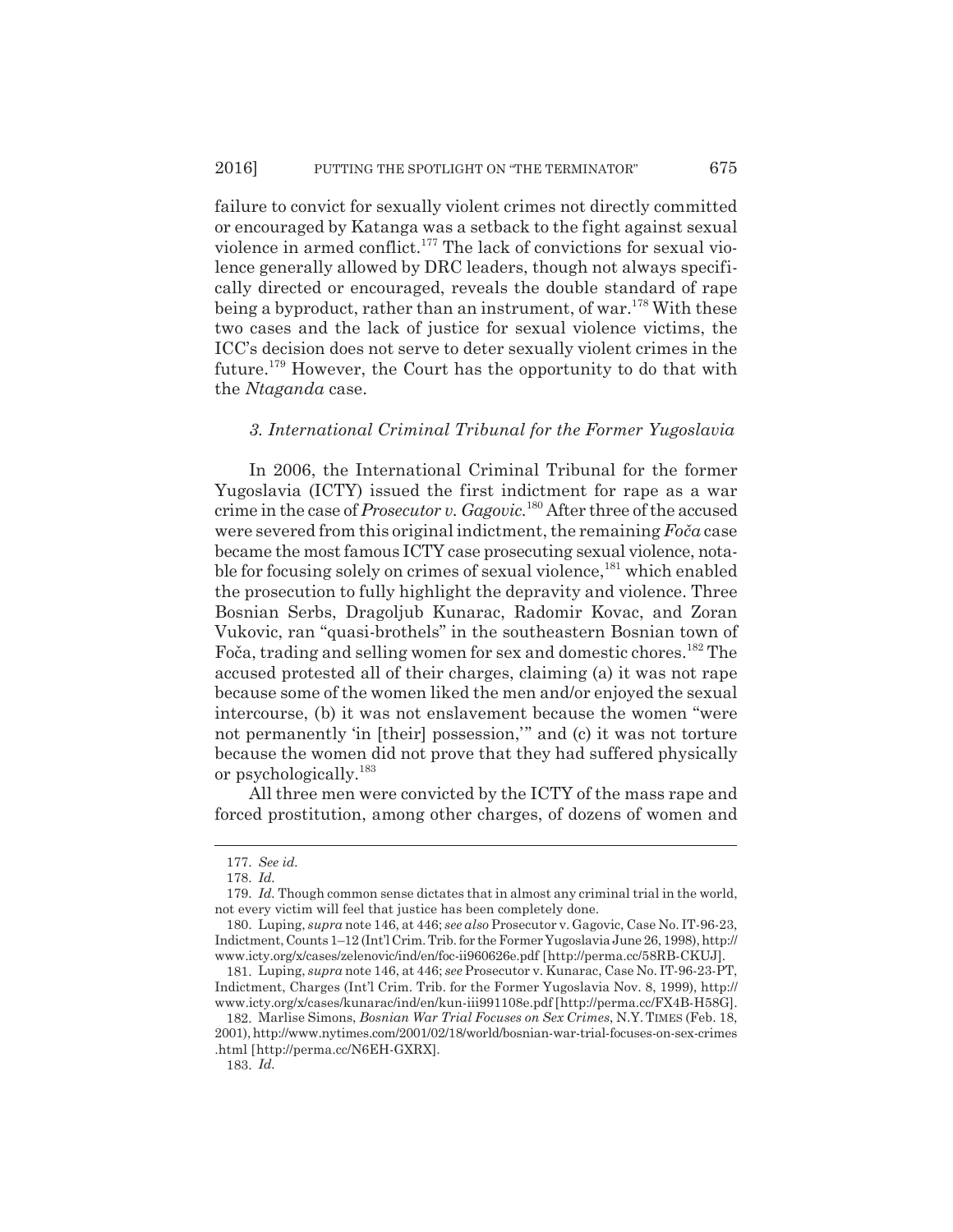failure to convict for sexually violent crimes not directly committed or encouraged by Katanga was a setback to the fight against sexual violence in armed conflict.177 The lack of convictions for sexual violence generally allowed by DRC leaders, though not always specifically directed or encouraged, reveals the double standard of rape being a byproduct, rather than an instrument, of war.<sup>178</sup> With these two cases and the lack of justice for sexual violence victims, the ICC's decision does not serve to deter sexually violent crimes in the future.179 However, the Court has the opportunity to do that with the *Ntaganda* case.

## *3. International Criminal Tribunal for the Former Yugoslavia*

In 2006, the International Criminal Tribunal for the former Yugoslavia (ICTY) issued the first indictment for rape as a war crime in the case of *Prosecutor v. Gagovic.*180 After three of the accused were severed from this original indictment, the remaining *FoĀa* case became the most famous ICTY case prosecuting sexual violence, notable for focusing solely on crimes of sexual violence,<sup>181</sup> which enabled the prosecution to fully highlight the depravity and violence. Three Bosnian Serbs, Dragoljub Kunarac, Radomir Kovac, and Zoran Vukovic, ran "quasi-brothels" in the southeastern Bosnian town of Foča, trading and selling women for sex and domestic chores.<sup>182</sup> The accused protested all of their charges, claiming (a) it was not rape because some of the women liked the men and/or enjoyed the sexual intercourse, (b) it was not enslavement because the women "were not permanently 'in [their] possession,'" and (c) it was not torture because the women did not prove that they had suffered physically or psychologically.183

All three men were convicted by the ICTY of the mass rape and forced prostitution, among other charges, of dozens of women and

<sup>177.</sup> *See id.*

<sup>178.</sup> *Id.*

<sup>179.</sup> *Id.* Though common sense dictates that in almost any criminal trial in the world, not every victim will feel that justice has been completely done.

<sup>180.</sup> Luping, *supra* note 146, at 446; *see also* Prosecutor v. Gagovic, Case No. IT-96-23, Indictment, Counts 1–12 (Int'l Crim. Trib. for the Former Yugoslavia June 26, 1998), http:// www.icty.org/x/cases/zelenovic/ind/en/foc-ii960626e.pdf [http://perma.cc/58RB-CKUJ].

<sup>181.</sup> Luping, *supra* note 146, at 446; *see* Prosecutor v. Kunarac, Case No. IT-96-23-PT, Indictment, Charges (Int'l Crim. Trib. for the Former Yugoslavia Nov. 8, 1999), http:// www.icty.org/x/cases/kunarac/ind/en/kun-iii991108e.pdf [http://perma.cc/FX4B-H58G].

<sup>182.</sup> Marlise Simons, *Bosnian War Trial Focuses on Sex Crimes*, N.Y. TIMES (Feb. 18, 2001), http://www.nytimes.com/2001/02/18/world/bosnian-war-trial-focuses-on-sex-crimes .html [http://perma.cc/N6EH-GXRX].

<sup>183.</sup> *Id.*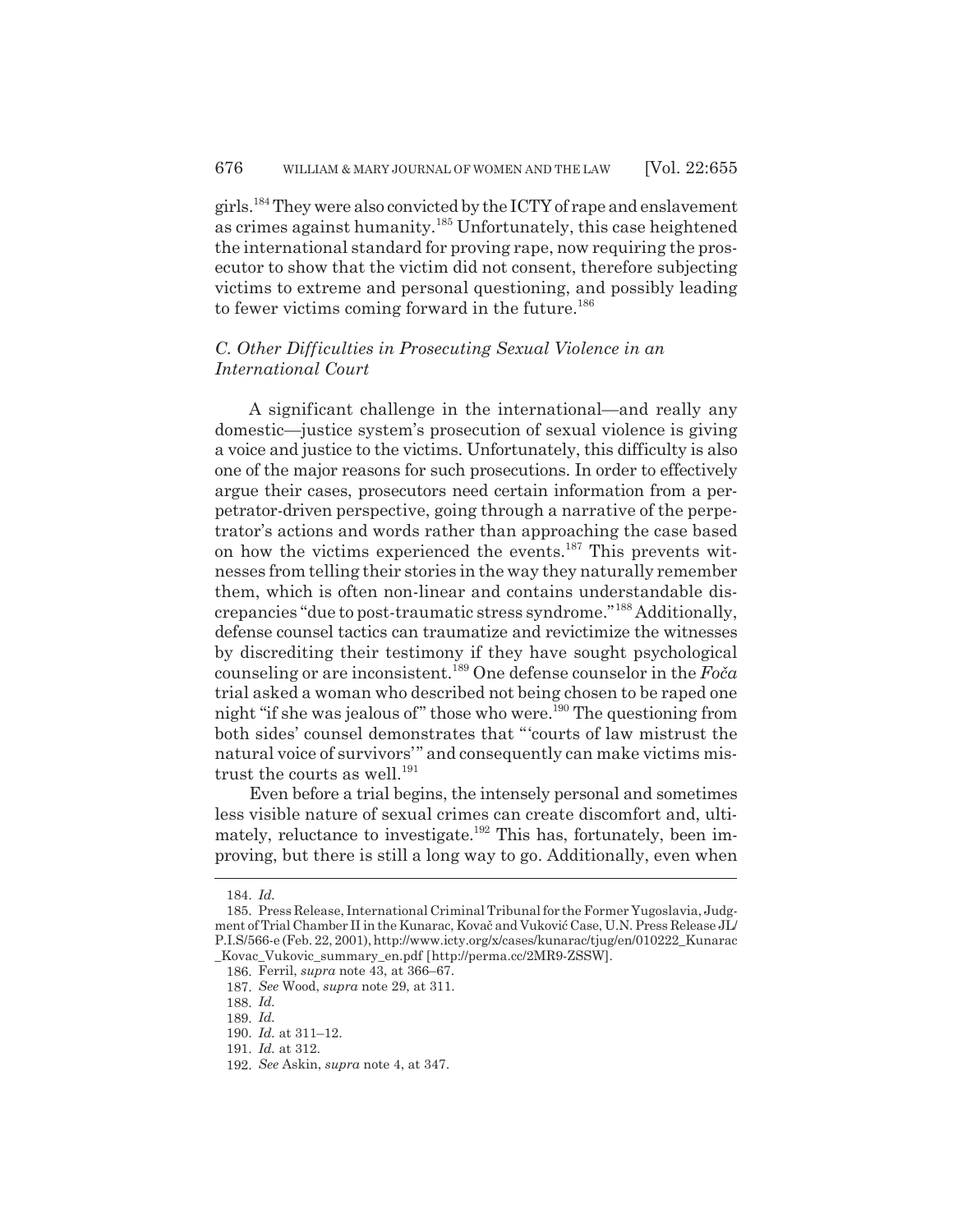girls.184 They were also convicted by the ICTY of rape and enslavement as crimes against humanity.185 Unfortunately, this case heightened the international standard for proving rape, now requiring the prosecutor to show that the victim did not consent, therefore subjecting victims to extreme and personal questioning, and possibly leading to fewer victims coming forward in the future.<sup>186</sup>

## *C. Other Difficulties in Prosecuting Sexual Violence in an International Court*

A significant challenge in the international—and really any domestic—justice system's prosecution of sexual violence is giving a voice and justice to the victims. Unfortunately, this difficulty is also one of the major reasons for such prosecutions. In order to effectively argue their cases, prosecutors need certain information from a perpetrator-driven perspective, going through a narrative of the perpetrator's actions and words rather than approaching the case based on how the victims experienced the events.187 This prevents witnesses from telling their stories in the way they naturally remember them, which is often non-linear and contains understandable discrepancies "due to post-traumatic stress syndrome."188 Additionally, defense counsel tactics can traumatize and revictimize the witnesses by discrediting their testimony if they have sought psychological counseling or are inconsistent.189 One defense counselor in the *FoĀa* trial asked a woman who described not being chosen to be raped one night "if she was jealous of" those who were.<sup>190</sup> The questioning from both sides' counsel demonstrates that "'courts of law mistrust the natural voice of survivors'" and consequently can make victims mistrust the courts as well. $^{191}$ 

Even before a trial begins, the intensely personal and sometimes less visible nature of sexual crimes can create discomfort and, ultimately, reluctance to investigate.<sup>192</sup> This has, fortunately, been improving, but there is still a long way to go. Additionally, even when

<sup>184.</sup> *Id.*

<sup>185.</sup> Press Release, International Criminal Tribunal for the Former Yugoslavia, Judgment of Trial Chamber II in the Kunarac, Kovač and Vuković Case, U.N. Press Release JL/ P.I.S/566-e (Feb. 22, 2001), http://www.icty.org/x/cases/kunarac/tjug/en/010222\_Kunarac \_Kovac\_Vukovic\_summary\_en.pdf [http://perma.cc/2MR9-ZSSW].

<sup>186.</sup> Ferril, *supra* note 43, at 366–67.

<sup>187.</sup> *See* Wood, *supra* note 29, at 311.

<sup>188.</sup> *Id.*

<sup>189.</sup> *Id.*

<sup>190.</sup> *Id.* at 311–12.

<sup>191.</sup> *Id.* at 312.

<sup>192.</sup> *See* Askin, *supra* note 4, at 347.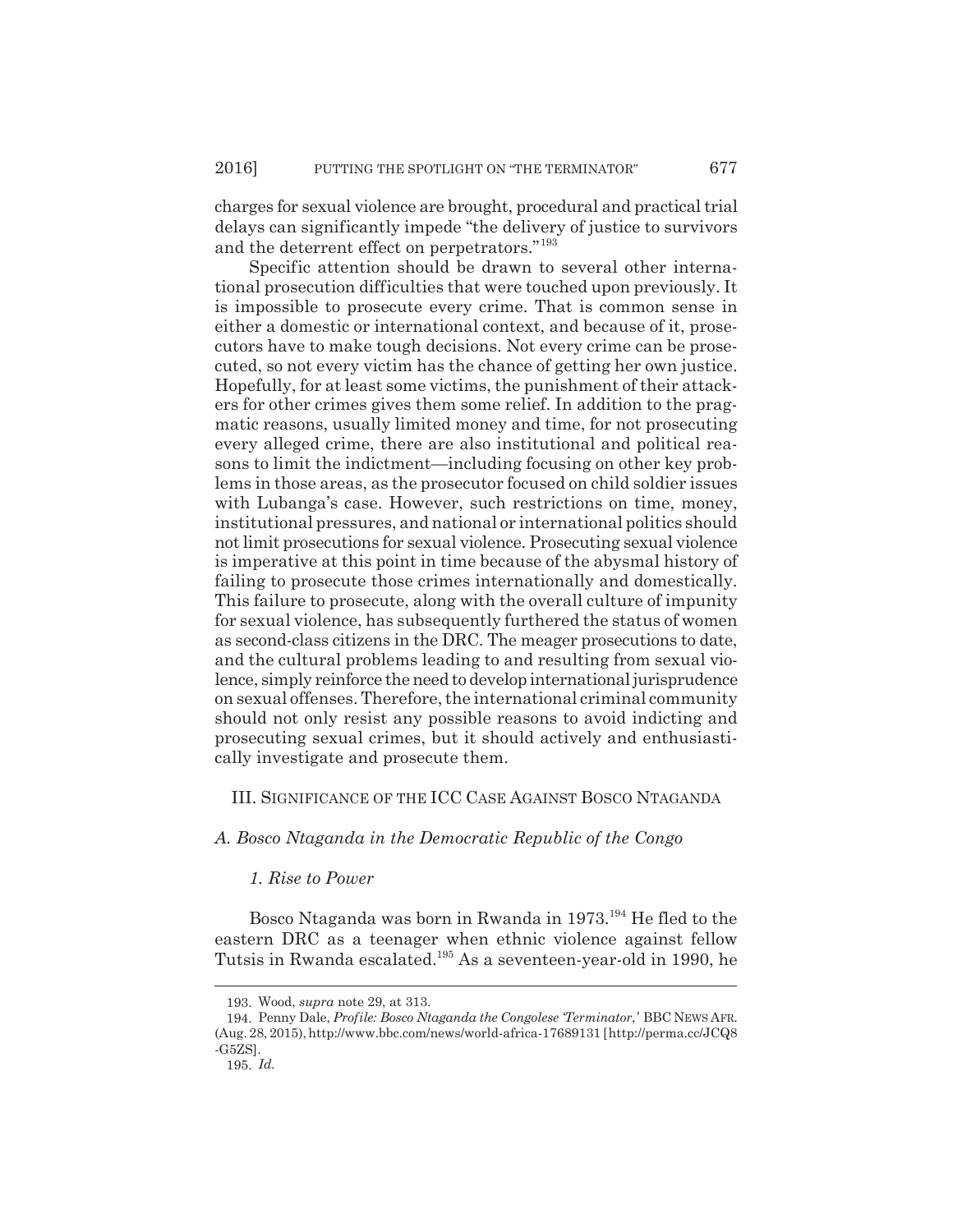charges for sexual violence are brought, procedural and practical trial delays can significantly impede "the delivery of justice to survivors and the deterrent effect on perpetrators."193

Specific attention should be drawn to several other international prosecution difficulties that were touched upon previously. It is impossible to prosecute every crime. That is common sense in either a domestic or international context, and because of it, prosecutors have to make tough decisions. Not every crime can be prosecuted, so not every victim has the chance of getting her own justice. Hopefully, for at least some victims, the punishment of their attackers for other crimes gives them some relief. In addition to the pragmatic reasons, usually limited money and time, for not prosecuting every alleged crime, there are also institutional and political reasons to limit the indictment—including focusing on other key problems in those areas, as the prosecutor focused on child soldier issues with Lubanga's case. However, such restrictions on time, money, institutional pressures, and national or international politics should not limit prosecutions for sexual violence. Prosecuting sexual violence is imperative at this point in time because of the abysmal history of failing to prosecute those crimes internationally and domestically. This failure to prosecute, along with the overall culture of impunity for sexual violence, has subsequently furthered the status of women as second-class citizens in the DRC. The meager prosecutions to date, and the cultural problems leading to and resulting from sexual violence, simply reinforce the need to develop international jurisprudence on sexual offenses. Therefore, the international criminal community should not only resist any possible reasons to avoid indicting and prosecuting sexual crimes, but it should actively and enthusiastically investigate and prosecute them.

## III. SIGNIFICANCE OF THE ICC CASE AGAINST BOSCO NTAGANDA

## *A. Bosco Ntaganda in the Democratic Republic of the Congo*

#### *1. Rise to Power*

Bosco Ntaganda was born in Rwanda in 1973.194 He fled to the eastern DRC as a teenager when ethnic violence against fellow Tutsis in Rwanda escalated.195 As a seventeen-year-old in 1990, he

<sup>193.</sup> Wood, *supra* note 29, at 313.

<sup>194.</sup> Penny Dale, *Profile: Bosco Ntaganda the Congolese 'Terminator*,*'* BBC NEWS AFR. (Aug. 28, 2015), http://www.bbc.com/news/world-africa-17689131 [http://perma.cc/JCQ8 -G5ZS].

<sup>195.</sup> *Id.*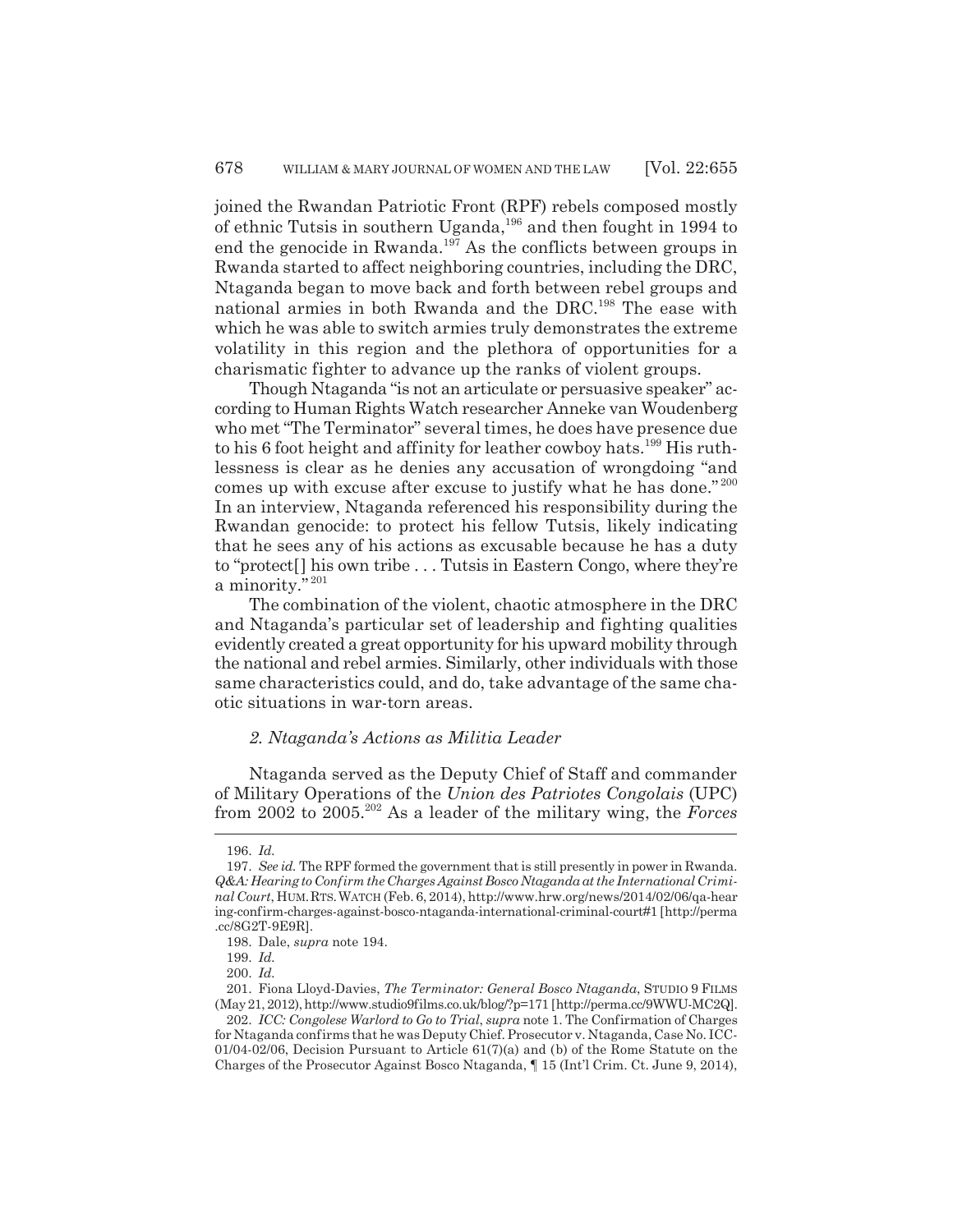joined the Rwandan Patriotic Front (RPF) rebels composed mostly of ethnic Tutsis in southern Uganda,<sup>196</sup> and then fought in 1994 to end the genocide in Rwanda.<sup>197</sup> As the conflicts between groups in Rwanda started to affect neighboring countries, including the DRC, Ntaganda began to move back and forth between rebel groups and national armies in both Rwanda and the DRC.198 The ease with which he was able to switch armies truly demonstrates the extreme volatility in this region and the plethora of opportunities for a charismatic fighter to advance up the ranks of violent groups.

Though Ntaganda "is not an articulate or persuasive speaker" according to Human Rights Watch researcher Anneke van Woudenberg who met "The Terminator" several times, he does have presence due to his 6 foot height and affinity for leather cowboy hats.<sup>199</sup> His ruthlessness is clear as he denies any accusation of wrongdoing "and comes up with excuse after excuse to justify what he has done." <sup>200</sup> In an interview, Ntaganda referenced his responsibility during the Rwandan genocide: to protect his fellow Tutsis, likely indicating that he sees any of his actions as excusable because he has a duty to "protect[] his own tribe . . . Tutsis in Eastern Congo, where they're a minority." <sup>201</sup>

The combination of the violent, chaotic atmosphere in the DRC and Ntaganda's particular set of leadership and fighting qualities evidently created a great opportunity for his upward mobility through the national and rebel armies. Similarly, other individuals with those same characteristics could, and do, take advantage of the same chaotic situations in war-torn areas.

#### *2. Ntaganda's Actions as Militia Leader*

Ntaganda served as the Deputy Chief of Staff and commander of Military Operations of the *Union des Patriotes Congolais* (UPC) from 2002 to 2005.202 As a leader of the military wing, the *Forces*

<sup>196.</sup> *Id.*

<sup>197.</sup> *See id.* The RPF formed the government that is still presently in power in Rwanda. *Q&A: Hearing to Confirm the Charges Against Bosco Ntaganda at the International Criminal Court*, HUM.RTS.WATCH (Feb. 6, 2014), http://www.hrw.org/news/2014/02/06/qa-hear ing-confirm-charges-against-bosco-ntaganda-international-criminal-court#1 [http://perma .cc/8G2T-9E9R].

<sup>198.</sup> Dale, *supra* note 194.

<sup>199.</sup> *Id.*

<sup>200.</sup> *Id.*

<sup>201.</sup> Fiona Lloyd-Davies, *The Terminator: General Bosco Ntaganda*, STUDIO 9 FILMS (May 21, 2012), http://www.studio9films.co.uk/blog/?p=171 [http://perma.cc/9WWU-MC2Q].

<sup>202.</sup> *ICC: Congolese Warlord to Go to Trial*, *supra* note 1. The Confirmation of Charges for Ntaganda confirms that he was Deputy Chief. Prosecutor v. Ntaganda, Case No. ICC-01/04-02/06, Decision Pursuant to Article 61(7)(a) and (b) of the Rome Statute on the Charges of the Prosecutor Against Bosco Ntaganda, ¶ 15 (Int'l Crim. Ct. June 9, 2014),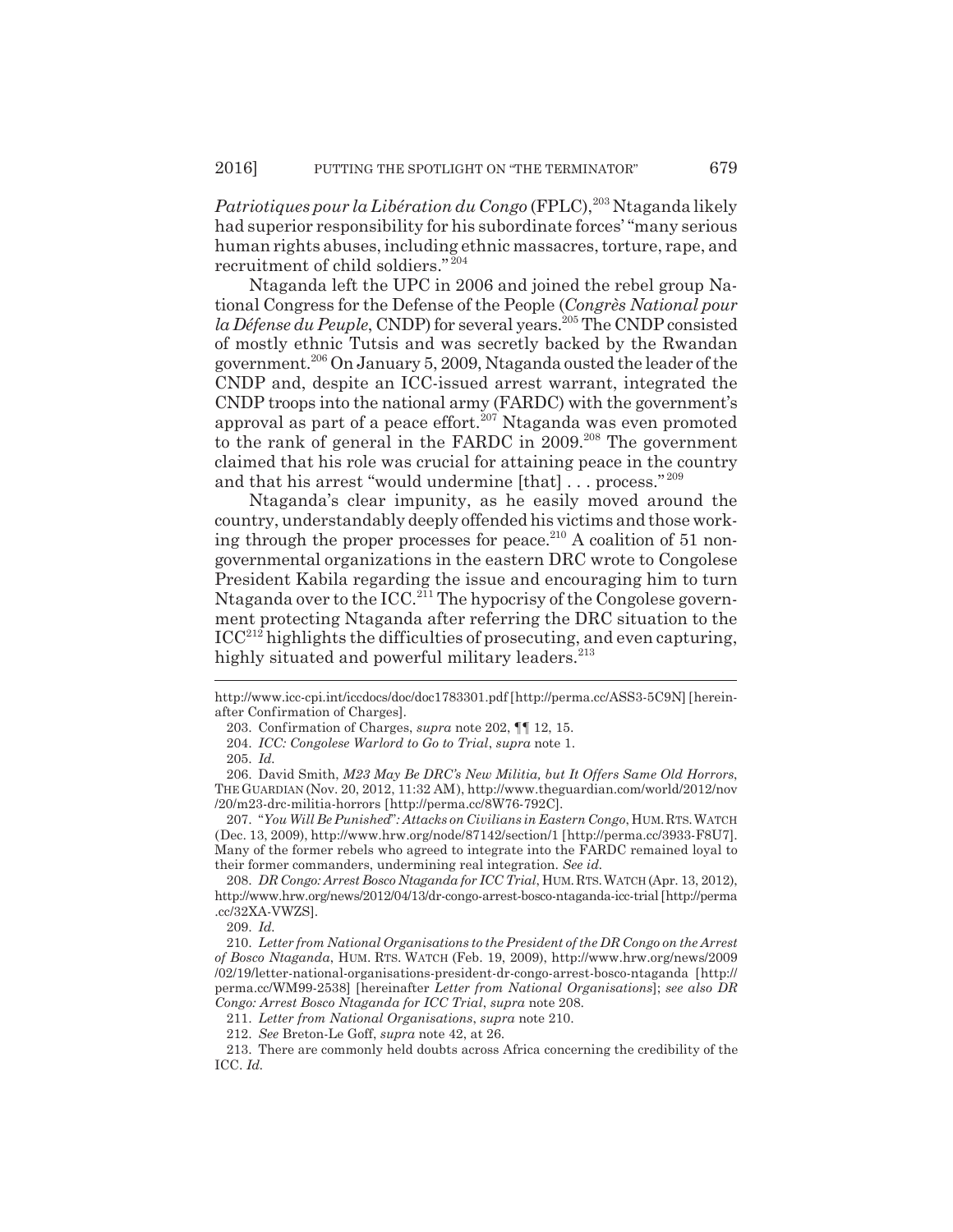*Patriotiques pour la Libération du Congo* (FPLC),<sup>203</sup> Ntaganda likely had superior responsibility for his subordinate forces' "many serious human rights abuses, including ethnic massacres, torture, rape, and recruitment of child soldiers."<sup>204</sup>

Ntaganda left the UPC in 2006 and joined the rebel group National Congress for the Defense of the People (*Congrès National pour* la Défense du Peuple, CNDP) for several years.<sup>205</sup> The CNDP consisted of mostly ethnic Tutsis and was secretly backed by the Rwandan government.206 On January 5, 2009, Ntaganda ousted the leader of the CNDP and, despite an ICC-issued arrest warrant, integrated the CNDP troops into the national army (FARDC) with the government's approval as part of a peace effort.<sup>207</sup> Ntaganda was even promoted to the rank of general in the FARDC in  $2009$ <sup>208</sup>. The government claimed that his role was crucial for attaining peace in the country and that his arrest "would undermine [that] ... process."<sup>209</sup>

Ntaganda's clear impunity, as he easily moved around the country, understandably deeply offended his victims and those working through the proper processes for peace.<sup>210</sup> A coalition of 51 nongovernmental organizations in the eastern DRC wrote to Congolese President Kabila regarding the issue and encouraging him to turn Ntaganda over to the  $\text{ICC.}^{211}$  The hypocrisy of the Congolese government protecting Ntaganda after referring the DRC situation to the  $\text{ICC}^{212}$  highlights the difficulties of prosecuting, and even capturing, highly situated and powerful military leaders.<sup>213</sup>

http://www.icc-cpi.int/iccdocs/doc/doc1783301.pdf [http://perma.cc/ASS3-5C9N] [hereinafter Confirmation of Charges].

<sup>203.</sup> Confirmation of Charges, *supra* note 202, ¶¶ 12, 15.

<sup>204.</sup> *ICC: Congolese Warlord to Go to Trial*, *supra* note 1.

<sup>205.</sup> *Id.*

<sup>206.</sup> David Smith, *M23 May Be DRC's New Militia, but It Offers Same Old Horrors*, THE GUARDIAN (Nov. 20, 2012, 11:32 AM), http://www.theguardian.com/world/2012/nov /20/m23-drc-militia-horrors [http://perma.cc/8W76-792C].

<sup>207.</sup> "*You Will Be Punished*"*: Attacks on Civilians in Eastern Congo*, HUM.RTS.WATCH (Dec. 13, 2009), http://www.hrw.org/node/87142/section/1 [http://perma.cc/3933-F8U7]. Many of the former rebels who agreed to integrate into the FARDC remained loyal to their former commanders, undermining real integration. *See id.*

<sup>208.</sup> *DR Congo: Arrest Bosco Ntaganda for ICC Trial*, HUM.RTS.WATCH (Apr. 13, 2012), http://www.hrw.org/news/2012/04/13/dr-congo-arrest-bosco-ntaganda-icc-trial [http://perma .cc/32XA-VWZS].

<sup>209.</sup> *Id.*

<sup>210.</sup> *Letter from National Organisations to the President of the DR Congo on the Arrest of Bosco Ntaganda*, HUM. RTS. WATCH (Feb. 19, 2009), http://www.hrw.org/news/2009 /02/19/letter-national-organisations-president-dr-congo-arrest-bosco-ntaganda [http:// perma.cc/WM99-2538] [hereinafter *Letter from National Organisations*]; *see also DR Congo: Arrest Bosco Ntaganda for ICC Trial*, *supra* note 208.

<sup>211.</sup> *Letter from National Organisations*, *supra* note 210.

<sup>212.</sup> *See* Breton-Le Goff, *supra* note 42, at 26.

<sup>213.</sup> There are commonly held doubts across Africa concerning the credibility of the ICC. *Id.*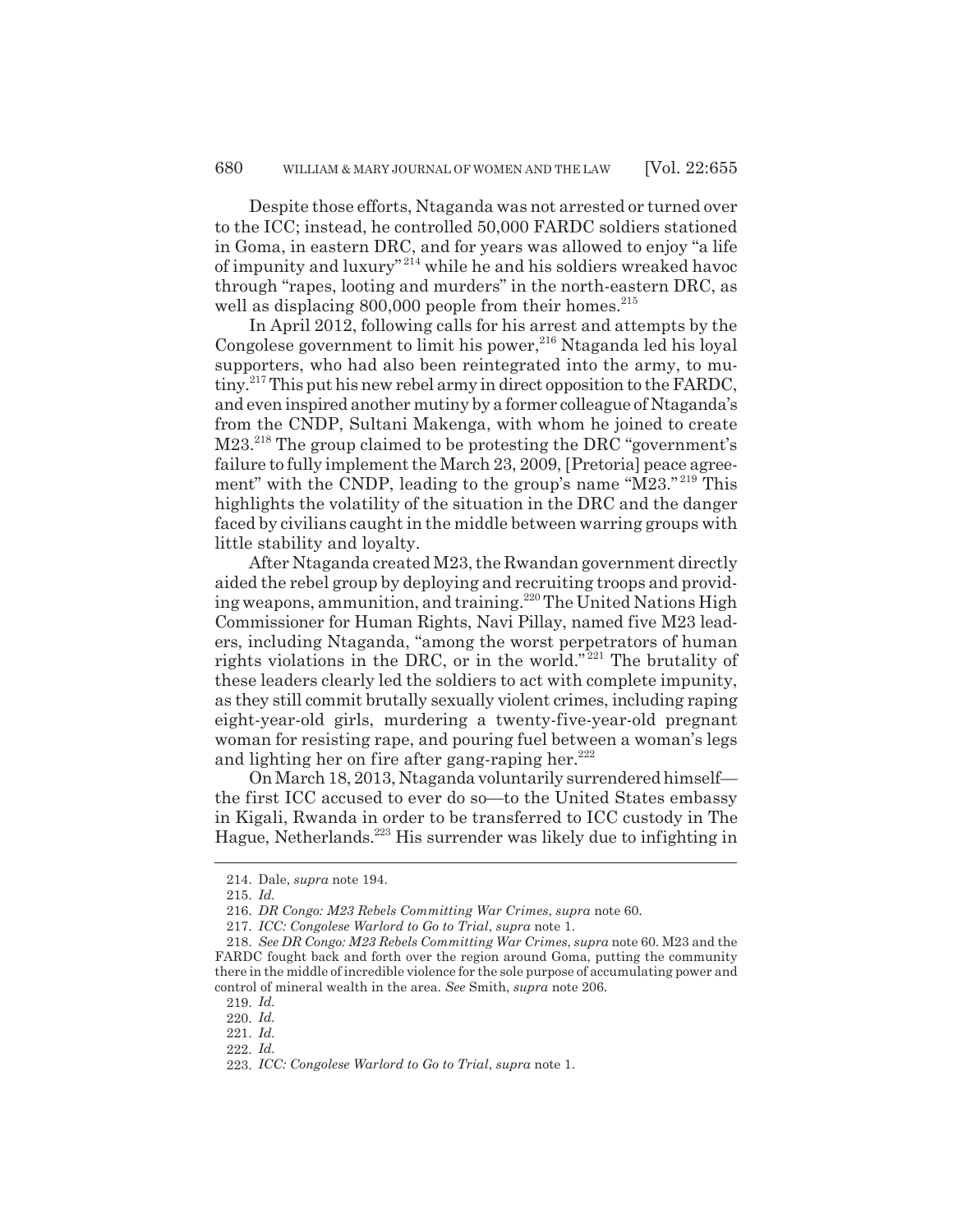Despite those efforts, Ntaganda was not arrested or turned over to the ICC; instead, he controlled 50,000 FARDC soldiers stationed in Goma, in eastern DRC, and for years was allowed to enjoy "a life of impunity and luxury" 214 while he and his soldiers wreaked havoc through "rapes, looting and murders" in the north-eastern DRC, as well as displacing  $800,000$  people from their homes.<sup>215</sup>

In April 2012, following calls for his arrest and attempts by the Congolese government to limit his power,  $216$  Ntaganda led his loyal supporters, who had also been reintegrated into the army, to mutiny.<sup>217</sup> This put his new rebel army in direct opposition to the FARDC, and even inspired another mutiny by a former colleague of Ntaganda's from the CNDP, Sultani Makenga, with whom he joined to create M23.<sup>218</sup> The group claimed to be protesting the DRC "government's failure to fully implement the March 23, 2009, [Pretoria] peace agreement" with the CNDP, leading to the group's name "M23."<sup>219</sup> This highlights the volatility of the situation in the DRC and the danger faced by civilians caught in the middle between warring groups with little stability and loyalty.

After Ntaganda created M23, the Rwandan government directly aided the rebel group by deploying and recruiting troops and providing weapons, ammunition, and training.<sup>220</sup> The United Nations High Commissioner for Human Rights, Navi Pillay, named five M23 leaders, including Ntaganda, "among the worst perpetrators of human rights violations in the DRC, or in the world." $^{221}$  The brutality of these leaders clearly led the soldiers to act with complete impunity, as they still commit brutally sexually violent crimes, including raping eight-year-old girls, murdering a twenty-five-year-old pregnant woman for resisting rape, and pouring fuel between a woman's legs and lighting her on fire after gang-raping her. $222$ 

On March 18, 2013, Ntaganda voluntarily surrendered himself the first ICC accused to ever do so—to the United States embassy in Kigali, Rwanda in order to be transferred to ICC custody in The Hague, Netherlands.<sup>223</sup> His surrender was likely due to infighting in

<sup>214.</sup> Dale, *supra* note 194.

<sup>215.</sup> *Id.*

<sup>216.</sup> *DR Congo: M23 Rebels Committing War Crimes*, *supra* note 60.

<sup>217.</sup> *ICC: Congolese Warlord to Go to Trial*, *supra* note 1.

<sup>218.</sup> *See DR Congo: M23 Rebels Committing War Crimes*, *supra* note 60. M23 and the FARDC fought back and forth over the region around Goma, putting the community there in the middle of incredible violence for the sole purpose of accumulating power and control of mineral wealth in the area. *See* Smith, *supra* note 206.

<sup>219.</sup> *Id.*

<sup>220.</sup> *Id.*

<sup>221.</sup> *Id.*

<sup>222.</sup> *Id.*

<sup>223.</sup> *ICC: Congolese Warlord to Go to Trial*, *supra* note 1.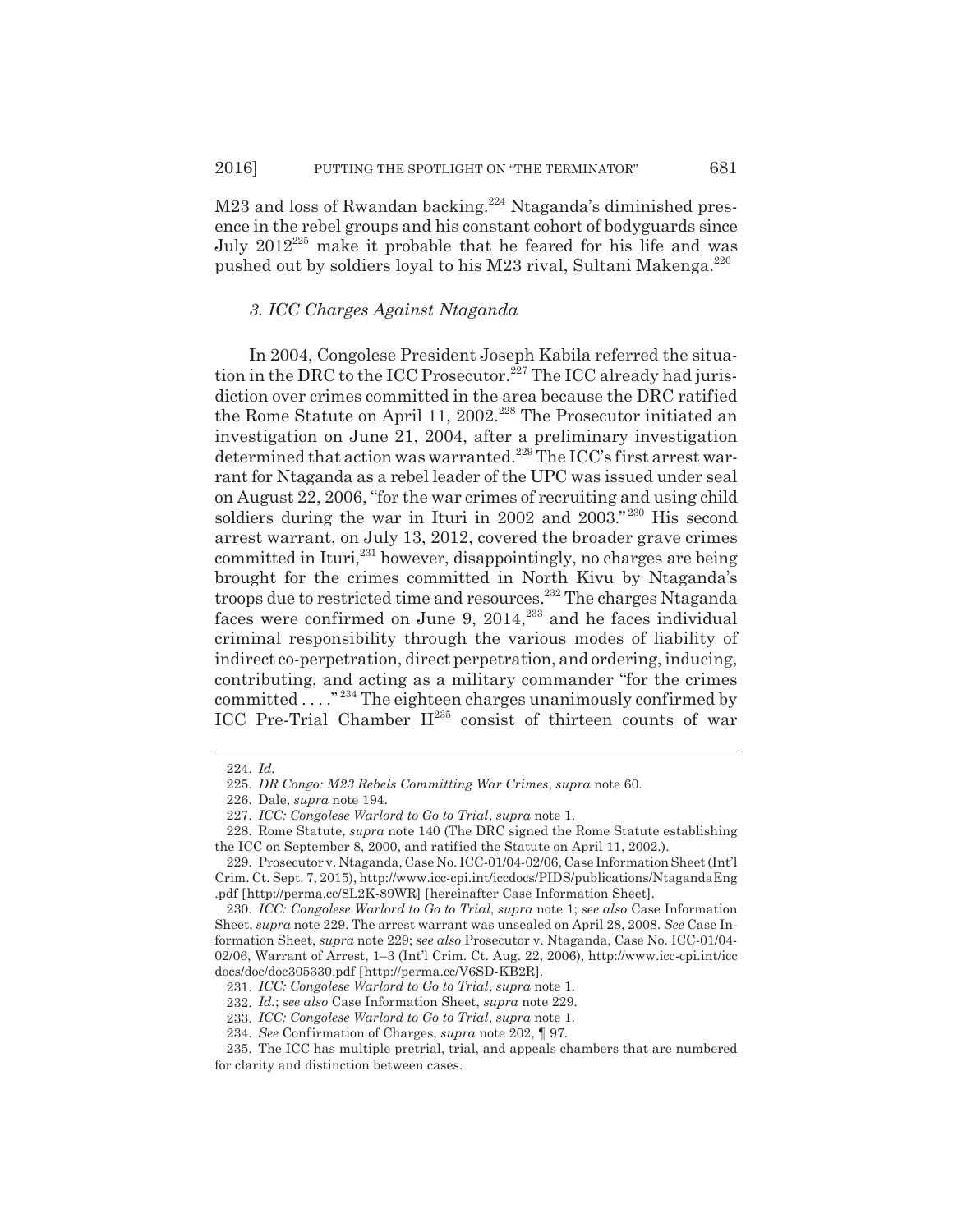M23 and loss of Rwandan backing.<sup>224</sup> Ntaganda's diminished presence in the rebel groups and his constant cohort of bodyguards since July  $2012^{225}$  make it probable that he feared for his life and was pushed out by soldiers loyal to his M23 rival, Sultani Makenga.<sup>226</sup>

## *3. ICC Charges Against Ntaganda*

In 2004, Congolese President Joseph Kabila referred the situation in the DRC to the ICC Prosecutor.<sup>227</sup> The ICC already had jurisdiction over crimes committed in the area because the DRC ratified the Rome Statute on April 11, 2002.<sup>228</sup> The Prosecutor initiated an investigation on June 21, 2004, after a preliminary investigation determined that action was warranted.<sup>229</sup> The ICC's first arrest warrant for Ntaganda as a rebel leader of the UPC was issued under seal on August 22, 2006, "for the war crimes of recruiting and using child soldiers during the war in Ituri in 2002 and 2003."<sup>230</sup> His second arrest warrant, on July 13, 2012, covered the broader grave crimes committed in Ituri,<sup>231</sup> however, disappointingly, no charges are being brought for the crimes committed in North Kivu by Ntaganda's troops due to restricted time and resources.232 The charges Ntaganda faces were confirmed on June 9,  $2014$ <sup>333</sup> and he faces individual criminal responsibility through the various modes of liability of indirect co-perpetration, direct perpetration, and ordering, inducing, contributing, and acting as a military commander "for the crimes committed . . . ." 234 The eighteen charges unanimously confirmed by ICC Pre-Trial Chamber  $II^{235}$  consist of thirteen counts of war

<sup>224.</sup> *Id.*

<sup>225.</sup> *DR Congo: M23 Rebels Committing War Crimes*, *supra* note 60.

<sup>226.</sup> Dale, *supra* note 194.

<sup>227.</sup> *ICC: Congolese Warlord to Go to Trial*, *supra* note 1.

<sup>228.</sup> Rome Statute, *supra* note 140 (The DRC signed the Rome Statute establishing the ICC on September 8, 2000, and ratified the Statute on April 11, 2002.).

<sup>229.</sup> Prosecutor v. Ntaganda, Case No. ICC-01/04-02/06, Case Information Sheet (Int'l Crim. Ct. Sept. 7, 2015), http://www.icc-cpi.int/iccdocs/PIDS/publications/NtagandaEng .pdf [http://perma.cc/8L2K-89WR] [hereinafter Case Information Sheet].

<sup>230.</sup> *ICC: Congolese Warlord to Go to Trial*, *supra* note 1; *see also* Case Information Sheet, *supra* note 229. The arrest warrant was unsealed on April 28, 2008. *See* Case Information Sheet, *supra* note 229; *see also* Prosecutor v. Ntaganda, Case No. ICC-01/04- 02/06, Warrant of Arrest, 1–3 (Int'l Crim. Ct. Aug. 22, 2006), http://www.icc-cpi.int/icc docs/doc/doc305330.pdf [http://perma.cc/V6SD-KB2R].

<sup>231.</sup> *ICC: Congolese Warlord to Go to Trial*, *supra* note 1.

<sup>232.</sup> *Id.*; *see also* Case Information Sheet, *supra* note 229.

<sup>233.</sup> *ICC: Congolese Warlord to Go to Trial*, *supra* note 1.

<sup>234.</sup> *See* Confirmation of Charges, *supra* note 202, ¶ 97.

<sup>235.</sup> The ICC has multiple pretrial, trial, and appeals chambers that are numbered for clarity and distinction between cases.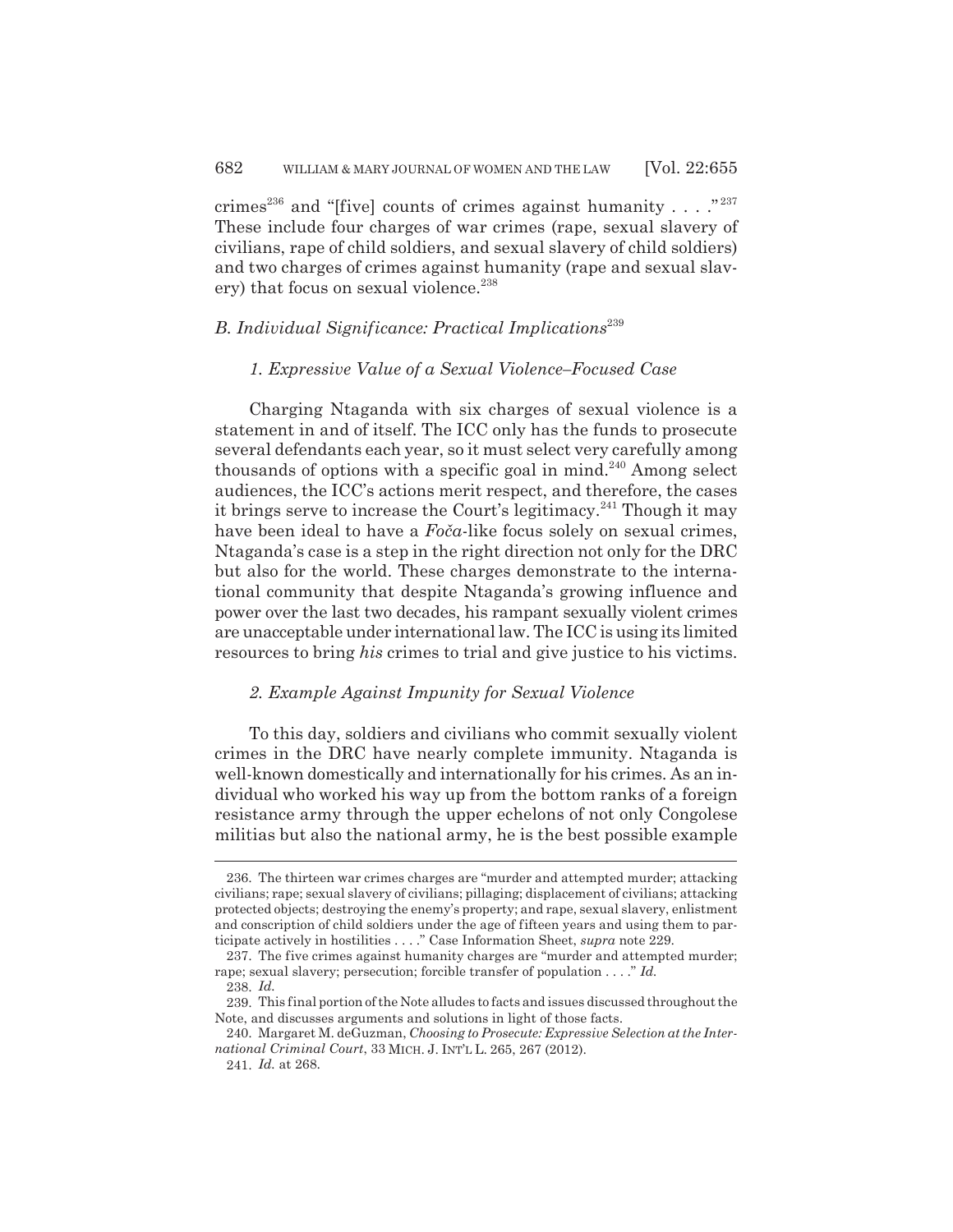crimes<sup>236</sup> and "[five] counts of crimes against humanity . . . . "<sup>237</sup> These include four charges of war crimes (rape, sexual slavery of civilians, rape of child soldiers, and sexual slavery of child soldiers) and two charges of crimes against humanity (rape and sexual slavery) that focus on sexual violence.<sup>238</sup>

## *B. Individual Significance: Practical Implications*<sup>239</sup>

#### *1. Expressive Value of a Sexual Violence–Focused Case*

Charging Ntaganda with six charges of sexual violence is a statement in and of itself. The ICC only has the funds to prosecute several defendants each year, so it must select very carefully among thousands of options with a specific goal in mind.<sup>240</sup> Among select audiences, the ICC's actions merit respect, and therefore, the cases it brings serve to increase the Court's legitimacy.<sup>241</sup> Though it may have been ideal to have a *Foča*-like focus solely on sexual crimes, Ntaganda's case is a step in the right direction not only for the DRC but also for the world. These charges demonstrate to the international community that despite Ntaganda's growing influence and power over the last two decades, his rampant sexually violent crimes are unacceptable under international law. The ICC is using its limited resources to bring *his* crimes to trial and give justice to his victims.

## *2. Example Against Impunity for Sexual Violence*

To this day, soldiers and civilians who commit sexually violent crimes in the DRC have nearly complete immunity. Ntaganda is well-known domestically and internationally for his crimes. As an individual who worked his way up from the bottom ranks of a foreign resistance army through the upper echelons of not only Congolese militias but also the national army, he is the best possible example

<sup>236.</sup> The thirteen war crimes charges are "murder and attempted murder; attacking civilians; rape; sexual slavery of civilians; pillaging; displacement of civilians; attacking protected objects; destroying the enemy's property; and rape, sexual slavery, enlistment and conscription of child soldiers under the age of fifteen years and using them to participate actively in hostilities . . . ." Case Information Sheet, *supra* note 229.

<sup>237.</sup> The five crimes against humanity charges are "murder and attempted murder; rape; sexual slavery; persecution; forcible transfer of population . . . ." *Id.*

<sup>238.</sup> *Id.*

<sup>239.</sup> This final portion of the Note alludes to facts and issues discussed throughout the Note, and discusses arguments and solutions in light of those facts.

<sup>240.</sup> Margaret M. deGuzman, *Choosing to Prosecute: Expressive Selection at the International Criminal Court*, 33 MICH. J. INT'L L. 265, 267 (2012).

<sup>241.</sup> *Id.* at 268.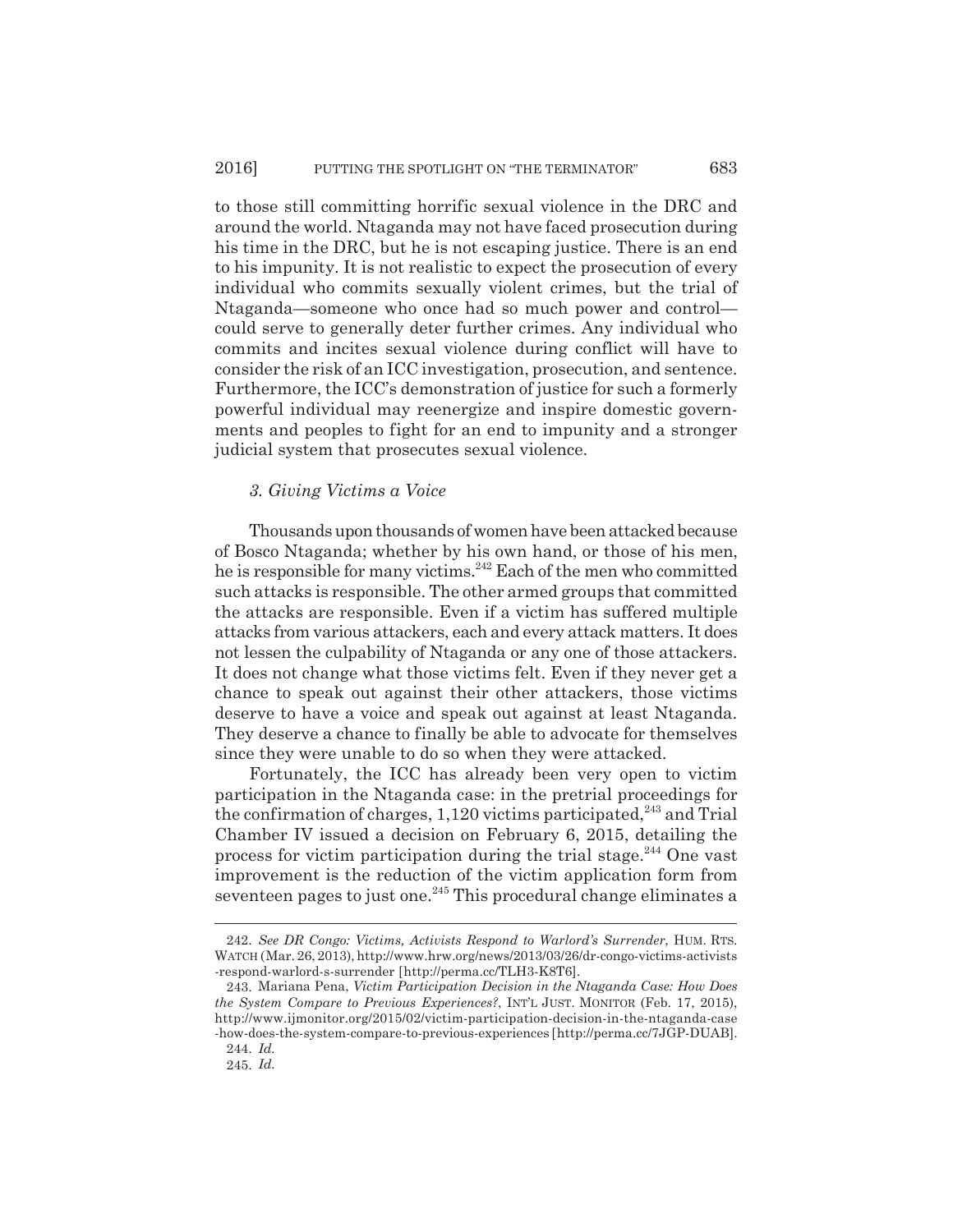to those still committing horrific sexual violence in the DRC and around the world. Ntaganda may not have faced prosecution during his time in the DRC, but he is not escaping justice. There is an end to his impunity. It is not realistic to expect the prosecution of every individual who commits sexually violent crimes, but the trial of Ntaganda—someone who once had so much power and control could serve to generally deter further crimes. Any individual who commits and incites sexual violence during conflict will have to consider the risk of an ICC investigation, prosecution, and sentence. Furthermore, the ICC's demonstration of justice for such a formerly powerful individual may reenergize and inspire domestic governments and peoples to fight for an end to impunity and a stronger judicial system that prosecutes sexual violence.

## *3. Giving Victims a Voice*

Thousands upon thousands of women have been attacked because of Bosco Ntaganda; whether by his own hand, or those of his men, he is responsible for many victims.<sup>242</sup> Each of the men who committed such attacks is responsible. The other armed groups that committed the attacks are responsible. Even if a victim has suffered multiple attacks from various attackers, each and every attack matters. It does not lessen the culpability of Ntaganda or any one of those attackers. It does not change what those victims felt. Even if they never get a chance to speak out against their other attackers, those victims deserve to have a voice and speak out against at least Ntaganda. They deserve a chance to finally be able to advocate for themselves since they were unable to do so when they were attacked.

Fortunately, the ICC has already been very open to victim participation in the Ntaganda case: in the pretrial proceedings for the confirmation of charges,  $1,120$  victims participated,<sup>243</sup> and Trial Chamber IV issued a decision on February 6, 2015, detailing the process for victim participation during the trial stage.<sup>244</sup> One vast improvement is the reduction of the victim application form from seventeen pages to just one.<sup>245</sup> This procedural change eliminates a

<sup>242.</sup> *See DR Congo: Victims, Activists Respond to Warlord's Surrender*, HUM. RTS. WATCH (Mar. 26, 2013), http://www.hrw.org/news/2013/03/26/dr-congo-victims-activists -respond-warlord-s-surrender [http://perma.cc/TLH3-K8T6].

<sup>243.</sup> Mariana Pena, *Victim Participation Decision in the Ntaganda Case: How Does the System Compare to Previous Experiences?*, INT'L JUST. MONITOR (Feb. 17, 2015), http://www.ijmonitor.org/2015/02/victim-participation-decision-in-the-ntaganda-case -how-does-the-system-compare-to-previous-experiences [http://perma.cc/7JGP-DUAB].

<sup>244.</sup> *Id.*

<sup>245.</sup> *Id.*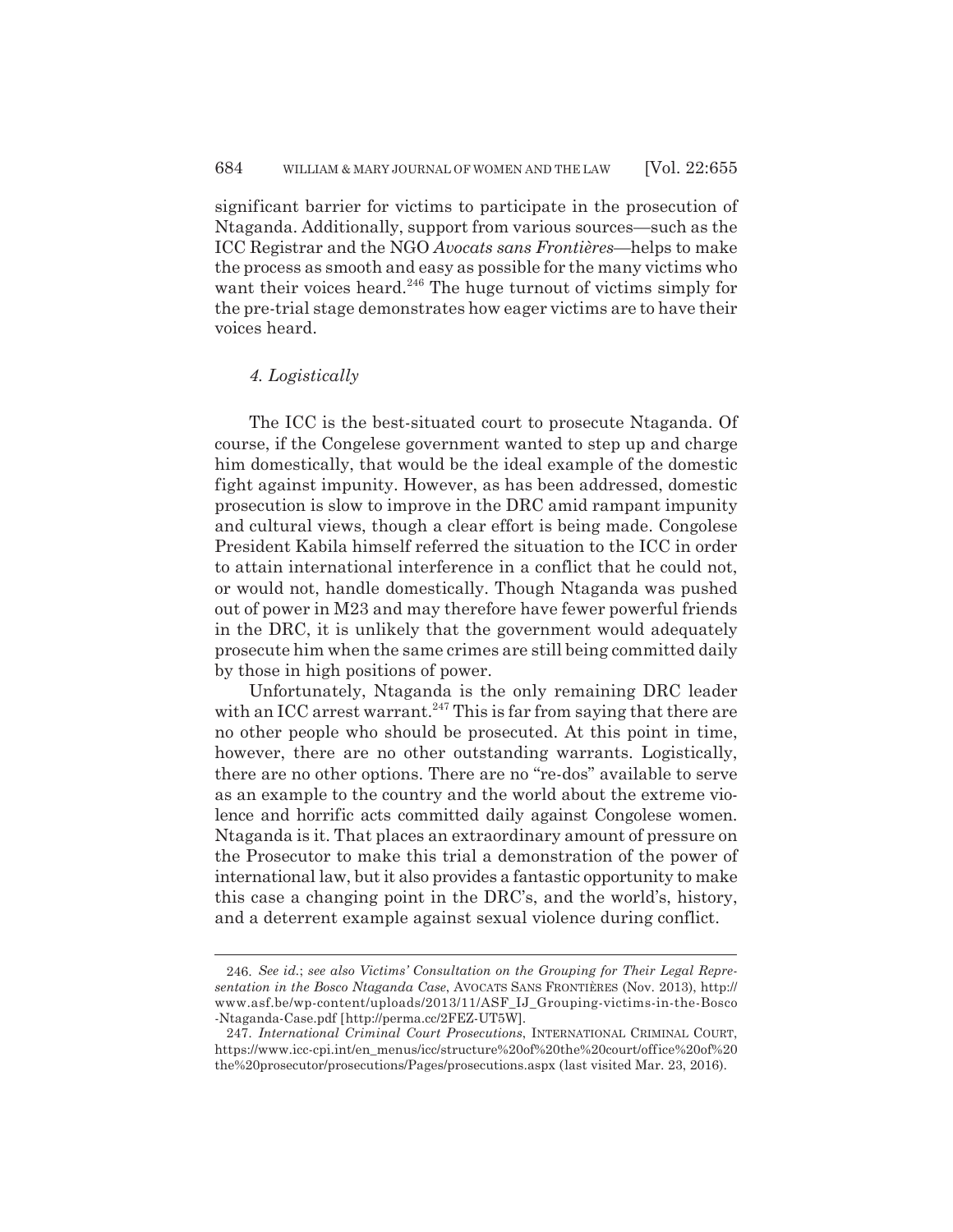significant barrier for victims to participate in the prosecution of Ntaganda. Additionally, support from various sources—such as the ICC Registrar and the NGO *Avocats sans Frontières*—helps to make the process as smooth and easy as possible for the many victims who want their voices heard.<sup>246</sup> The huge turnout of victims simply for the pre-trial stage demonstrates how eager victims are to have their voices heard.

## *4. Logistically*

The ICC is the best-situated court to prosecute Ntaganda. Of course, if the Congelese government wanted to step up and charge him domestically, that would be the ideal example of the domestic fight against impunity. However, as has been addressed, domestic prosecution is slow to improve in the DRC amid rampant impunity and cultural views, though a clear effort is being made. Congolese President Kabila himself referred the situation to the ICC in order to attain international interference in a conflict that he could not, or would not, handle domestically. Though Ntaganda was pushed out of power in M23 and may therefore have fewer powerful friends in the DRC, it is unlikely that the government would adequately prosecute him when the same crimes are still being committed daily by those in high positions of power.

Unfortunately, Ntaganda is the only remaining DRC leader with an ICC arrest warrant.<sup>247</sup> This is far from saying that there are no other people who should be prosecuted. At this point in time, however, there are no other outstanding warrants. Logistically, there are no other options. There are no "re-dos" available to serve as an example to the country and the world about the extreme violence and horrific acts committed daily against Congolese women. Ntaganda is it. That places an extraordinary amount of pressure on the Prosecutor to make this trial a demonstration of the power of international law, but it also provides a fantastic opportunity to make this case a changing point in the DRC's, and the world's, history, and a deterrent example against sexual violence during conflict.

<sup>246.</sup> *See id.*; *see also Victims' Consultation on the Grouping for Their Legal Representation in the Bosco Ntaganda Case*, AVOCATS SANS FRONTIÈRES (Nov. 2013), http:// www.asf.be/wp-content/uploads/2013/11/ASF\_IJ\_Grouping-victims-in-the-Bosco -Ntaganda-Case.pdf [http://perma.cc/2FEZ-UT5W].

<sup>247.</sup> *International Criminal Court Prosecutions*, INTERNATIONAL CRIMINAL COURT, https://www.icc-cpi.int/en\_menus/icc/structure%20of%20the%20court/office%20of%20 the%20prosecutor/prosecutions/Pages/prosecutions.aspx (last visited Mar. 23, 2016).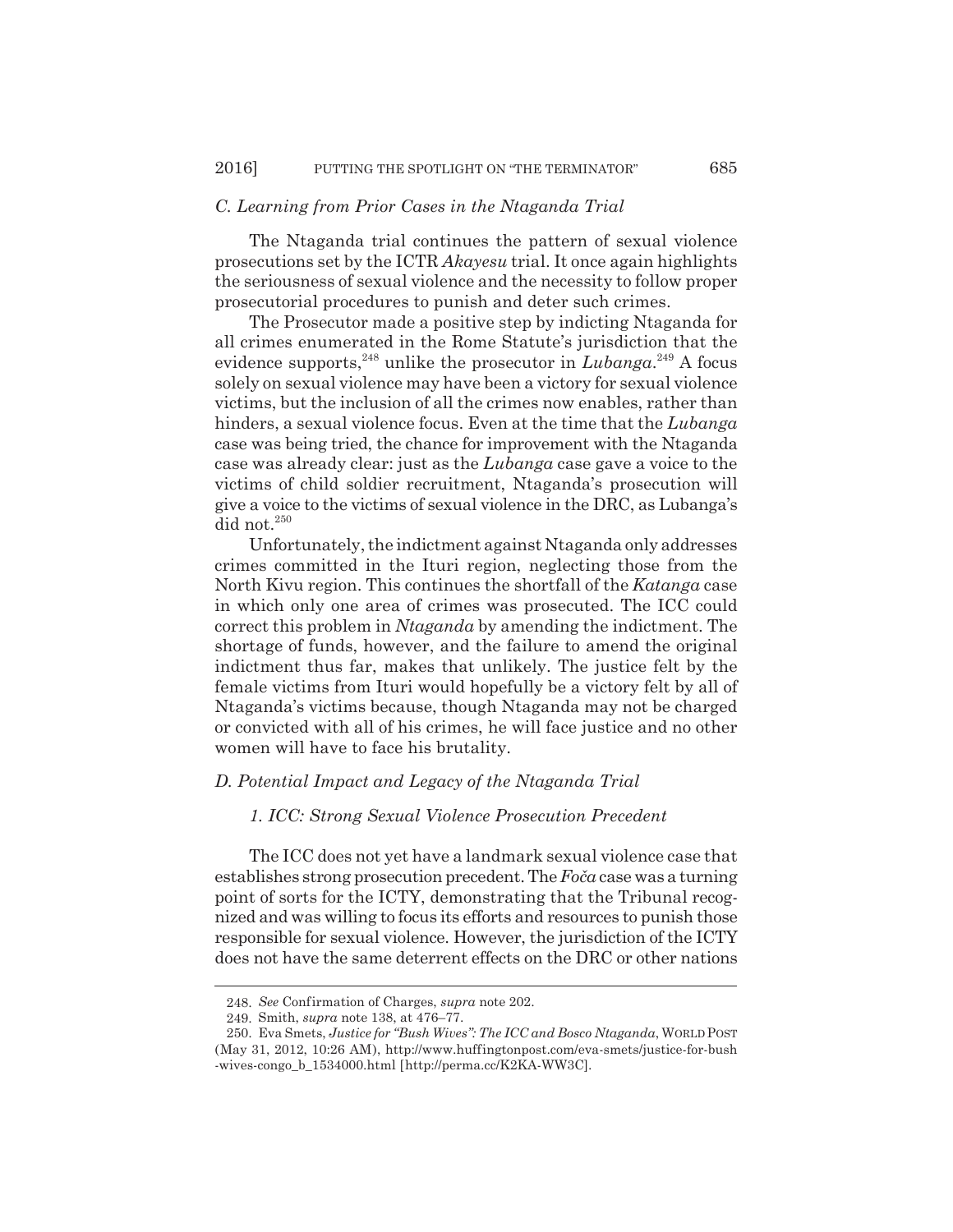## *C. Learning from Prior Cases in the Ntaganda Trial*

The Ntaganda trial continues the pattern of sexual violence prosecutions set by the ICTR *Akayesu* trial. It once again highlights the seriousness of sexual violence and the necessity to follow proper prosecutorial procedures to punish and deter such crimes.

The Prosecutor made a positive step by indicting Ntaganda for all crimes enumerated in the Rome Statute's jurisdiction that the evidence supports,  $248$  unlike the prosecutor in *Lubanga*.  $249$  A focus solely on sexual violence may have been a victory for sexual violence victims, but the inclusion of all the crimes now enables, rather than hinders, a sexual violence focus. Even at the time that the *Lubanga* case was being tried, the chance for improvement with the Ntaganda case was already clear: just as the *Lubanga* case gave a voice to the victims of child soldier recruitment, Ntaganda's prosecution will give a voice to the victims of sexual violence in the DRC, as Lubanga's did not.<sup>250</sup>

Unfortunately, the indictment against Ntaganda only addresses crimes committed in the Ituri region, neglecting those from the North Kivu region. This continues the shortfall of the *Katanga* case in which only one area of crimes was prosecuted. The ICC could correct this problem in *Ntaganda* by amending the indictment. The shortage of funds, however, and the failure to amend the original indictment thus far, makes that unlikely. The justice felt by the female victims from Ituri would hopefully be a victory felt by all of Ntaganda's victims because, though Ntaganda may not be charged or convicted with all of his crimes, he will face justice and no other women will have to face his brutality.

## *D. Potential Impact and Legacy of the Ntaganda Trial*

## *1. ICC: Strong Sexual Violence Prosecution Precedent*

The ICC does not yet have a landmark sexual violence case that establishes strong prosecution precedent. The *FoĀa* case was a turning point of sorts for the ICTY, demonstrating that the Tribunal recognized and was willing to focus its efforts and resources to punish those responsible for sexual violence. However, the jurisdiction of the ICTY does not have the same deterrent effects on the DRC or other nations

<sup>248.</sup> *See* Confirmation of Charges, *supra* note 202.

<sup>249.</sup> Smith, *supra* note 138, at 476–77.

<sup>250.</sup> Eva Smets, *Justice for "Bush Wives": The ICC and Bosco Ntaganda*, WORLD POST (May 31, 2012, 10:26 AM), http://www.huffingtonpost.com/eva-smets/justice-for-bush -wives-congo\_b\_1534000.html [http://perma.cc/K2KA-WW3C].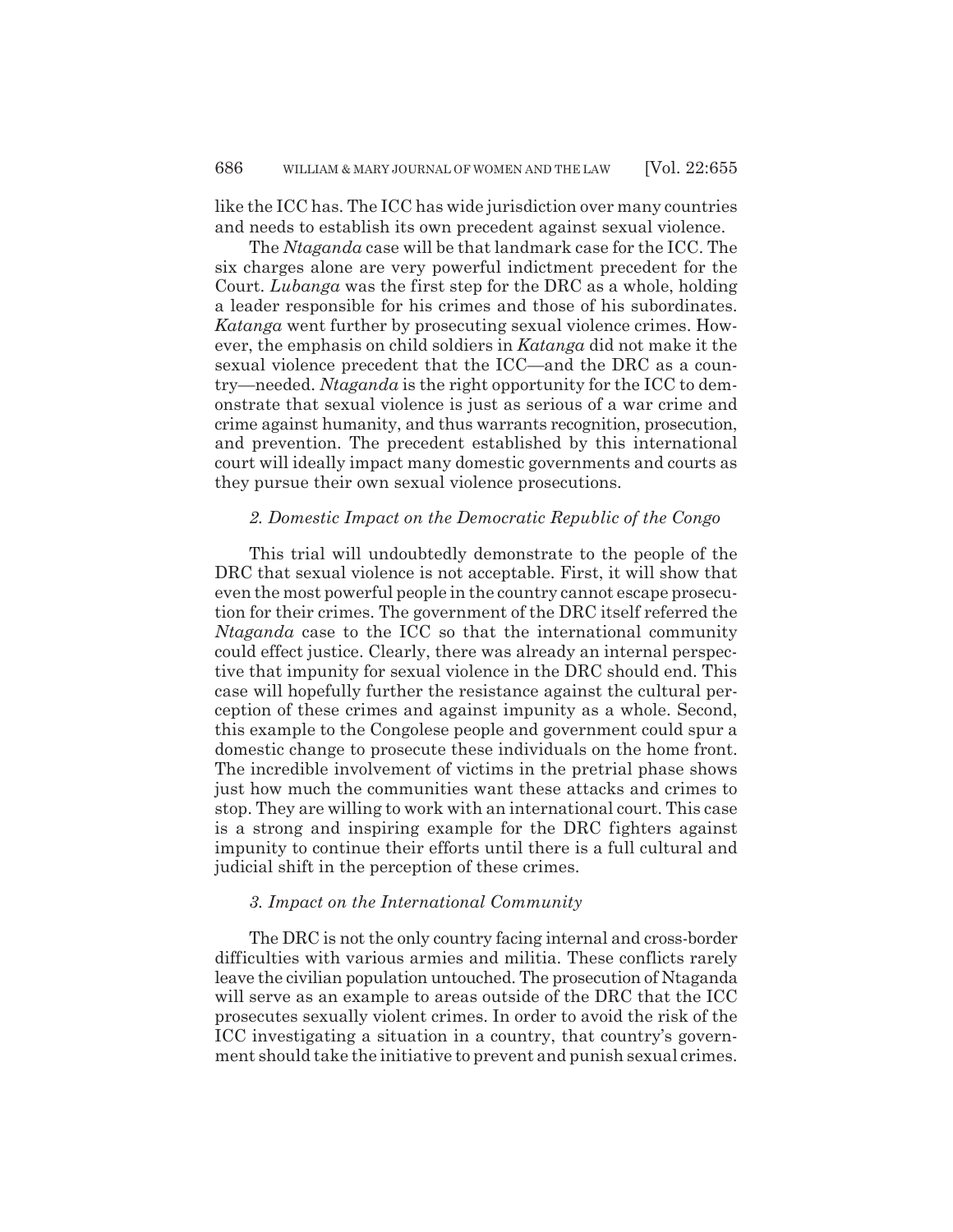like the ICC has. The ICC has wide jurisdiction over many countries and needs to establish its own precedent against sexual violence.

The *Ntaganda* case will be that landmark case for the ICC. The six charges alone are very powerful indictment precedent for the Court. *Lubanga* was the first step for the DRC as a whole, holding a leader responsible for his crimes and those of his subordinates. *Katanga* went further by prosecuting sexual violence crimes. However, the emphasis on child soldiers in *Katanga* did not make it the sexual violence precedent that the ICC—and the DRC as a country—needed. *Ntaganda* is the right opportunity for the ICC to demonstrate that sexual violence is just as serious of a war crime and crime against humanity, and thus warrants recognition, prosecution, and prevention. The precedent established by this international court will ideally impact many domestic governments and courts as they pursue their own sexual violence prosecutions.

## *2. Domestic Impact on the Democratic Republic of the Congo*

This trial will undoubtedly demonstrate to the people of the DRC that sexual violence is not acceptable. First, it will show that even the most powerful people in the country cannot escape prosecution for their crimes. The government of the DRC itself referred the *Ntaganda* case to the ICC so that the international community could effect justice. Clearly, there was already an internal perspective that impunity for sexual violence in the DRC should end. This case will hopefully further the resistance against the cultural perception of these crimes and against impunity as a whole. Second, this example to the Congolese people and government could spur a domestic change to prosecute these individuals on the home front. The incredible involvement of victims in the pretrial phase shows just how much the communities want these attacks and crimes to stop. They are willing to work with an international court. This case is a strong and inspiring example for the DRC fighters against impunity to continue their efforts until there is a full cultural and judicial shift in the perception of these crimes.

## *3. Impact on the International Community*

The DRC is not the only country facing internal and cross-border difficulties with various armies and militia. These conflicts rarely leave the civilian population untouched. The prosecution of Ntaganda will serve as an example to areas outside of the DRC that the ICC prosecutes sexually violent crimes. In order to avoid the risk of the ICC investigating a situation in a country, that country's government should take the initiative to prevent and punish sexual crimes.